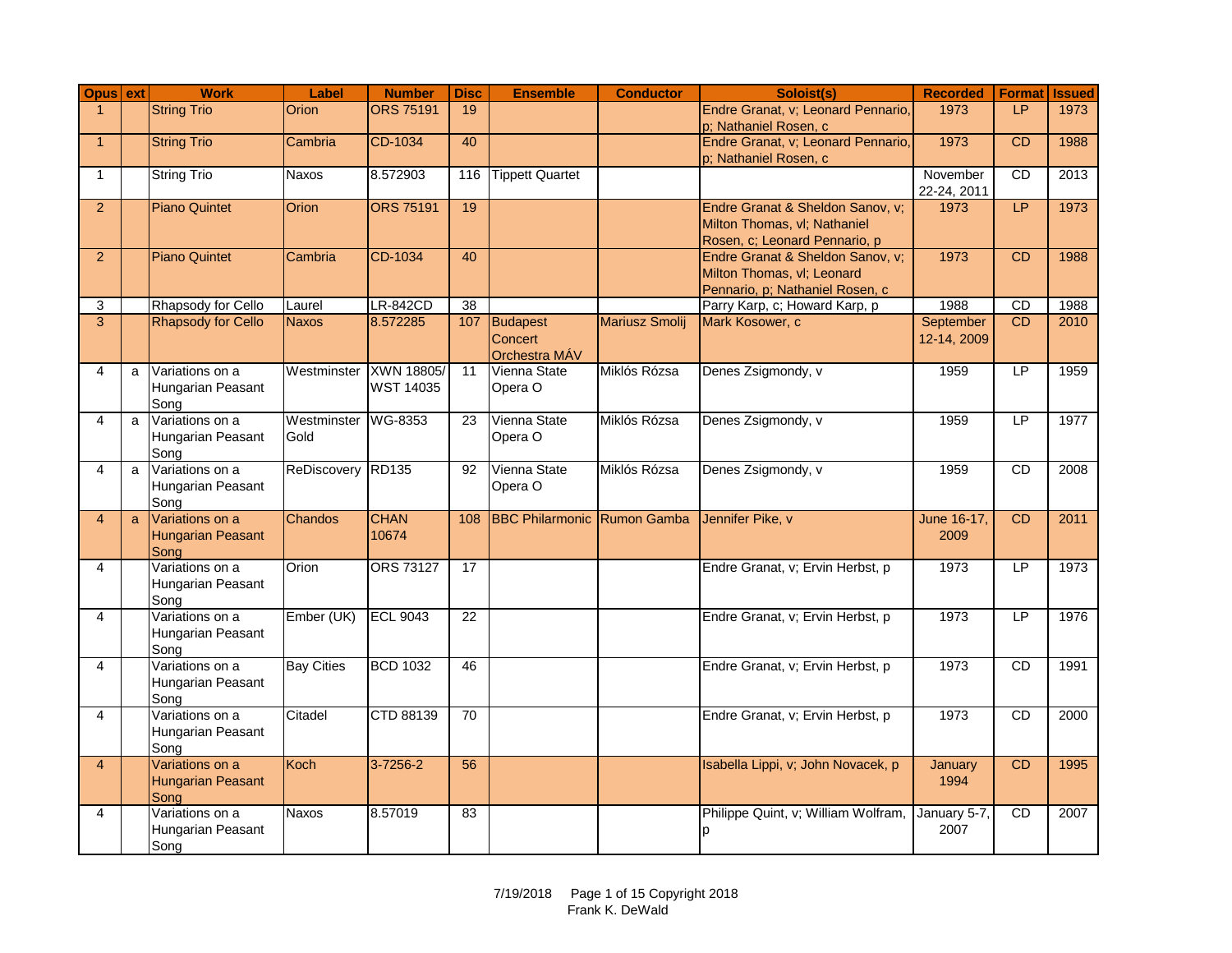| Opus ext                |   | <b>Work</b>                                         | Label               | <b>Number</b>                  | <b>Disc</b>     | <b>Ensemble</b>                          | <b>Conductor</b>      | Soloist(s)                                                                                        | <b>Recorded</b>          | <b>Format</b> | <b>Issued</b> |
|-------------------------|---|-----------------------------------------------------|---------------------|--------------------------------|-----------------|------------------------------------------|-----------------------|---------------------------------------------------------------------------------------------------|--------------------------|---------------|---------------|
| $\overline{1}$          |   | <b>String Trio</b>                                  | <b>Orion</b>        | <b>ORS 75191</b>               | 19              |                                          |                       | Endre Granat, v; Leonard Pennario,<br>p; Nathaniel Rosen, c                                       | 1973                     | LP            | 1973          |
| $\mathbf{1}$            |   | <b>String Trio</b>                                  | Cambria             | CD-1034                        | 40              |                                          |                       | Endre Granat, v; Leonard Pennario,<br>p; Nathaniel Rosen, c                                       | 1973                     | <b>CD</b>     | 1988          |
| $\mathbf{1}$            |   | <b>String Trio</b>                                  | Naxos               | 8.572903                       |                 | 116 Tippett Quartet                      |                       |                                                                                                   | November<br>22-24, 2011  | <b>CD</b>     | 2013          |
| 2                       |   | <b>Piano Quintet</b>                                | <b>Orion</b>        | <b>ORS 75191</b>               | 19              |                                          |                       | Endre Granat & Sheldon Sanov, v;<br>Milton Thomas, vl; Nathaniel<br>Rosen, c; Leonard Pennario, p | 1973                     | LP.           | 1973          |
| $\overline{2}$          |   | <b>Piano Quintet</b>                                | Cambria             | CD-1034                        | 40              |                                          |                       | Endre Granat & Sheldon Sanov, v;<br>Milton Thomas, vl; Leonard<br>Pennario, p; Nathaniel Rosen, c | 1973                     | <b>CD</b>     | 1988          |
| 3                       |   | Rhapsody for Cello                                  | Laurel              | <b>LR-842CD</b>                | $\overline{38}$ |                                          |                       | Parry Karp, c; Howard Karp, p                                                                     | 1988                     | CD            | 1988          |
| 3                       |   | <b>Rhapsody for Cello</b>                           | <b>Naxos</b>        | 8.572285                       |                 | 107 Budapest<br>Concert<br>Orchestra MÁV | <b>Mariusz Smolij</b> | Mark Kosower, c                                                                                   | September<br>12-14, 2009 | CD            | 2010          |
| $\overline{\mathbf{4}}$ | a | Variations on a<br>Hungarian Peasant<br>Song        | Westminster         | XWN 18805/<br><b>WST 14035</b> | 11              | Vienna State<br>Opera O                  | Miklós Rózsa          | Denes Zsigmondy, v                                                                                | 1959                     | LP            | 1959          |
| 4                       | a | Variations on a<br>Hungarian Peasant<br>Song        | Westminster<br>Gold | WG-8353                        | $\overline{23}$ | Vienna State<br>Opera O                  | Miklós Rózsa          | Denes Zsigmondy, v                                                                                | 1959                     | LP            | 1977          |
| $\overline{\mathbf{4}}$ | a | Variations on a<br>Hungarian Peasant<br>Song        | ReDiscovery RD135   |                                | 92              | Vienna State<br>Opera O                  | Miklós Rózsa          | Denes Zsigmondy, v                                                                                | 1959                     | <b>CD</b>     | 2008          |
| 4                       | a | Variations on a<br><b>Hungarian Peasant</b><br>Song | Chandos             | <b>CHAN</b><br>10674           | 108             | <b>BBC Philarmonic Rumon Gamba</b>       |                       | Jennifer Pike, v                                                                                  | June 16-17.<br>2009      | CD            | 2011          |
| $\overline{4}$          |   | Variations on a<br>Hungarian Peasant<br>Song        | Orion               | <b>ORS 73127</b>               | 17              |                                          |                       | Endre Granat, v; Ervin Herbst, p                                                                  | 1973                     | LP            | 1973          |
| 4                       |   | Variations on a<br>Hungarian Peasant<br>Sona        | Ember (UK)          | <b>ECL 9043</b>                | 22              |                                          |                       | Endre Granat, v; Ervin Herbst, p                                                                  | 1973                     | LP            | 1976          |
| $\overline{4}$          |   | Variations on a<br>Hungarian Peasant<br>Song        | <b>Bay Cities</b>   | <b>BCD 1032</b>                | 46              |                                          |                       | Endre Granat, v; Ervin Herbst, p                                                                  | 1973                     | CD            | 1991          |
| $\overline{\mathbf{4}}$ |   | Variations on a<br>Hungarian Peasant<br>Song        | Citadel             | CTD 88139                      | 70              |                                          |                       | Endre Granat, v; Ervin Herbst, p                                                                  | 1973                     | <b>CD</b>     | 2000          |
| $\overline{4}$          |   | Variations on a<br><b>Hungarian Peasant</b><br>Song | Koch                | $3 - 7256 - 2$                 | 56              |                                          |                       | Isabella Lippi, v; John Novacek, p                                                                | January<br>1994          | <b>CD</b>     | 1995          |
| 4                       |   | Variations on a<br>Hungarian Peasant<br>Song        | <b>Naxos</b>        | 8.57019                        | 83              |                                          |                       | Philippe Quint, v; William Wolfram,<br>þ                                                          | January 5-7,<br>2007     | <b>CD</b>     | 2007          |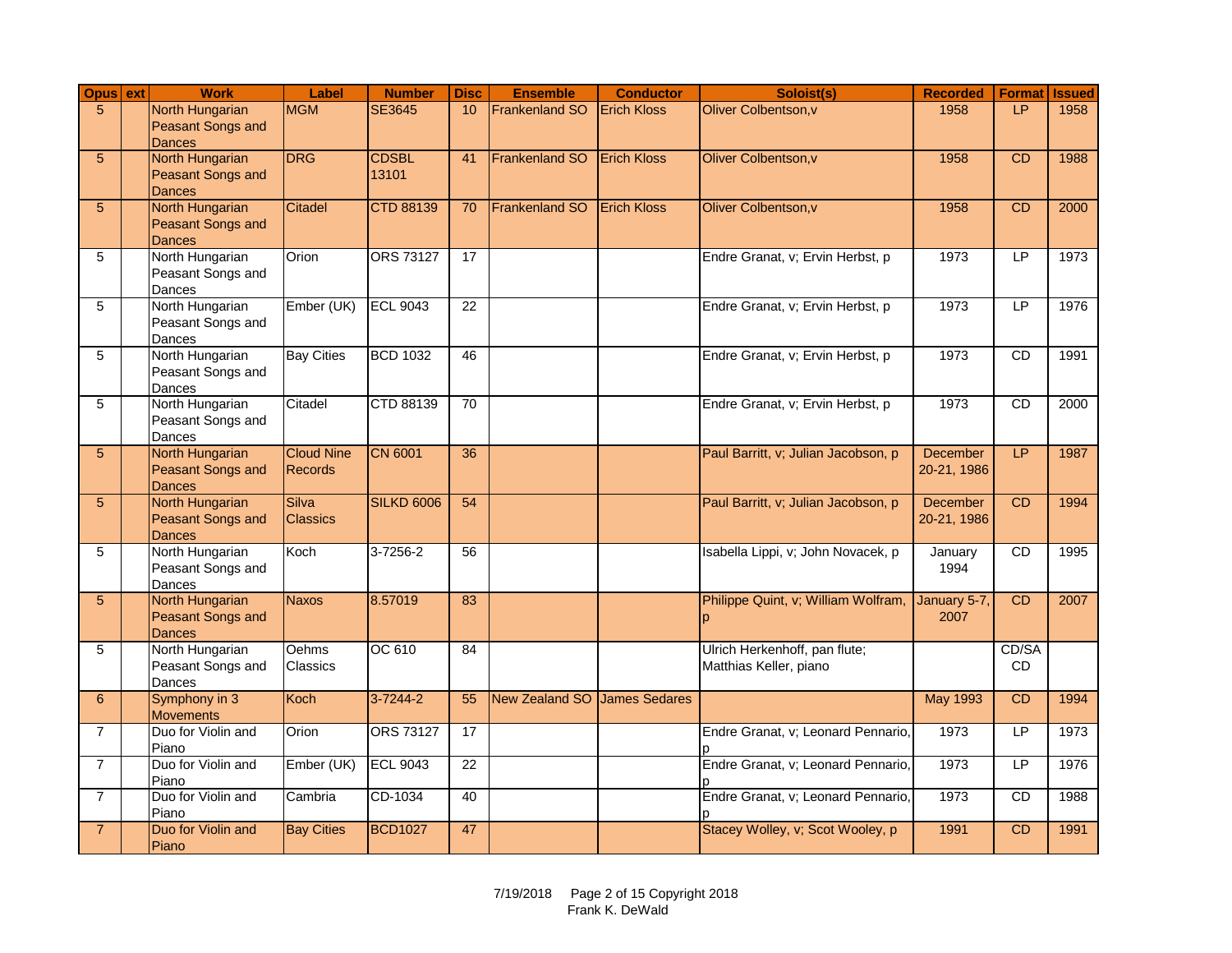| Opus ext       | <b>Work</b>                                                         | Label                        | <b>Number</b>         | <b>Disc</b>     | <b>Ensemble</b>              | <b>Conductor</b>   | Soloist(s)                                              | <b>Recorded</b>                | <b>Format</b>      | <b>Issued</b> |
|----------------|---------------------------------------------------------------------|------------------------------|-----------------------|-----------------|------------------------------|--------------------|---------------------------------------------------------|--------------------------------|--------------------|---------------|
| 5              | <b>North Hungarian</b><br><b>Peasant Songs and</b><br><b>Dances</b> | <b>MGM</b>                   | <b>SE3645</b>         | 10              | <b>Frankenland SO</b>        | <b>Erich Kloss</b> | Oliver Colbentson, v                                    | 1958                           | LP                 | 1958          |
| 5              | North Hungarian<br>Peasant Songs and<br><b>Dances</b>               | <b>DRG</b>                   | <b>CDSBL</b><br>13101 | 41              | <b>Frankenland SO</b>        | <b>Erich Kloss</b> | Oliver Colbentson, v                                    | 1958                           | CD                 | 1988          |
| 5              | North Hungarian<br>Peasant Songs and<br><b>Dances</b>               | Citadel                      | <b>CTD 88139</b>      | 70              | <b>Frankenland SO</b>        | <b>Erich Kloss</b> | Oliver Colbentson, v                                    | 1958                           | <b>CD</b>          | 2000          |
| 5              | North Hungarian<br>Peasant Songs and<br>Dances                      | Orion                        | <b>ORS 73127</b>      | $\overline{17}$ |                              |                    | Endre Granat, v; Ervin Herbst, p                        | 1973                           | LP                 | 1973          |
| 5              | North Hungarian<br>Peasant Songs and<br>Dances                      | Ember (UK)                   | <b>ECL 9043</b>       | $\overline{22}$ |                              |                    | Endre Granat, v; Ervin Herbst, p                        | 1973                           | LP                 | 1976          |
| 5              | North Hungarian<br>Peasant Songs and<br>Dances                      | <b>Bay Cities</b>            | <b>BCD 1032</b>       | 46              |                              |                    | Endre Granat, v; Ervin Herbst, p                        | 1973                           | CD                 | 1991          |
| 5              | North Hungarian<br>Peasant Songs and<br>Dances                      | Citadel                      | CTD 88139             | $\overline{70}$ |                              |                    | Endre Granat, v; Ervin Herbst, p                        | 1973                           | CD                 | 2000          |
| 5              | North Hungarian<br>Peasant Songs and<br><b>Dances</b>               | <b>Cloud Nine</b><br>Records | <b>CN 6001</b>        | 36              |                              |                    | Paul Barritt, v; Julian Jacobson, p                     | <b>December</b><br>20-21, 1986 | LP                 | 1987          |
| 5              | <b>North Hungarian</b><br><b>Peasant Songs and</b><br><b>Dances</b> | Silva<br><b>Classics</b>     | <b>SILKD 6006</b>     | 54              |                              |                    | Paul Barritt, v; Julian Jacobson, p                     | December<br>20-21, 1986        | CD                 | 1994          |
| 5              | North Hungarian<br>Peasant Songs and<br>Dances                      | Koch                         | $3 - 7256 - 2$        | 56              |                              |                    | Isabella Lippi, v; John Novacek, p                      | January<br>1994                | <b>CD</b>          | 1995          |
| 5              | North Hungarian<br>Peasant Songs and<br><b>Dances</b>               | <b>Naxos</b>                 | 8.57019               | 83              |                              |                    | Philippe Quint, v; William Wolfram,<br>p                | January 5-7,<br>2007           | <b>CD</b>          | 2007          |
| 5              | North Hungarian<br>Peasant Songs and<br>Dances                      | Oehms<br>Classics            | OC 610                | 84              |                              |                    | Ulrich Herkenhoff, pan flute;<br>Matthias Keller, piano |                                | CD/SA<br><b>CD</b> |               |
| 6              | Symphony in 3<br><b>Movements</b>                                   | <b>Koch</b>                  | $3 - 7244 - 2$        | 55              | New Zealand SO James Sedares |                    |                                                         | <b>May 1993</b>                | <b>CD</b>          | 1994          |
| $\overline{7}$ | Duo for Violin and<br>Piano                                         | Orion                        | ORS 73127             | 17              |                              |                    | Endre Granat, v; Leonard Pennario,                      | 1973                           | LP                 | 1973          |
| $\overline{7}$ | Duo for Violin and<br>Piano                                         | Ember (UK)                   | <b>ECL 9043</b>       | 22              |                              |                    | Endre Granat, v; Leonard Pennario,                      | 1973                           | LP                 | 1976          |
| $\overline{7}$ | Duo for Violin and<br>Piano                                         | Cambria                      | CD-1034               | 40              |                              |                    | Endre Granat, v; Leonard Pennario,                      | 1973                           | <b>CD</b>          | 1988          |
| $\overline{7}$ | Duo for Violin and<br>Piano                                         | <b>Bay Cities</b>            | <b>BCD1027</b>        | 47              |                              |                    | Stacey Wolley, v; Scot Wooley, p                        | 1991                           | CD                 | 1991          |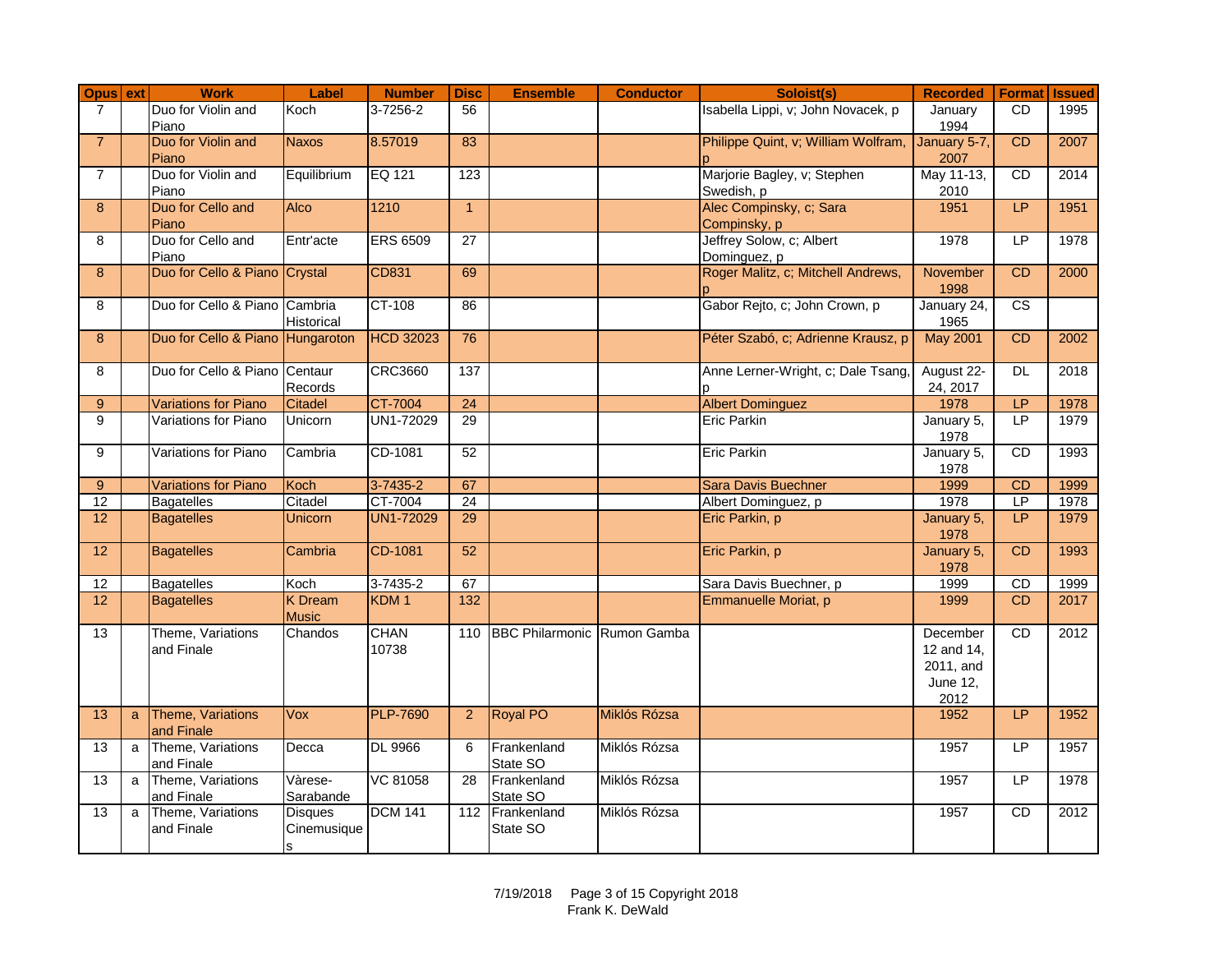| Opus ext        |              | <b>Work</b>                       | Label                               | <b>Number</b>        | <b>Disc</b>      | <b>Ensemble</b>                    | <b>Conductor</b> | Soloist(s)                                | <b>Recorded</b>                                                | <b>Format Issued</b>     |      |
|-----------------|--------------|-----------------------------------|-------------------------------------|----------------------|------------------|------------------------------------|------------------|-------------------------------------------|----------------------------------------------------------------|--------------------------|------|
| $\overline{7}$  |              | Duo for Violin and<br>Piano       | Koch                                | 3-7256-2             | 56               |                                    |                  | Isabella Lippi, v; John Novacek, p        | January<br>1994                                                | <b>CD</b>                | 1995 |
| $\overline{7}$  |              | Duo for Violin and<br>Piano       | <b>Naxos</b>                        | 8.57019              | 83               |                                    |                  | Philippe Quint, v; William Wolfram,       | January 5-7,<br>2007                                           | CD                       | 2007 |
| $\overline{7}$  |              | Duo for Violin and<br>Piano       | Equilibrium                         | EQ 121               | 123              |                                    |                  | Marjorie Bagley, v; Stephen<br>Swedish, p | May 11-13,<br>2010                                             | <b>CD</b>                | 2014 |
| 8               |              | Duo for Cello and<br>Piano        | <b>Alco</b>                         | 1210                 | $\overline{1}$   |                                    |                  | Alec Compinsky, c; Sara<br>Compinsky, p   | 1951                                                           | <b>LP</b>                | 1951 |
| 8               |              | Duo for Cello and<br>Piano        | Entr'acte                           | <b>ERS 6509</b>      | 27               |                                    |                  | Jeffrey Solow, c; Albert<br>Dominguez, p  | 1978                                                           | LP.                      | 1978 |
| 8               |              | Duo for Cello & Piano Crystal     |                                     | <b>CD831</b>         | 69               |                                    |                  | Roger Malitz, c; Mitchell Andrews,        | November<br>1998                                               | CD                       | 2000 |
| 8               |              | Duo for Cello & Piano Cambria     | Historical                          | CT-108               | 86               |                                    |                  | Gabor Rejto, c; John Crown, p             | January 24,<br>1965                                            | $\overline{\text{cs}}$   |      |
| 8               |              | Duo for Cello & Piano Hungaroton  |                                     | <b>HCD 32023</b>     | 76               |                                    |                  | Péter Szabó, c; Adrienne Krausz, p        | May 2001                                                       | <b>CD</b>                | 2002 |
| 8               |              | Duo for Cello & Piano Centaur     | Records                             | <b>CRC3660</b>       | 137              |                                    |                  | Anne Lerner-Wright, c; Dale Tsang,        | August 22-<br>24, 2017                                         | DL                       | 2018 |
| 9               |              | <b>Variations for Piano</b>       | <b>Citadel</b>                      | CT-7004              | 24               |                                    |                  | <b>Albert Dominguez</b>                   | 1978                                                           | LP                       | 1978 |
| 9               |              | Variations for Piano              | Unicorn                             | UN1-72029            | 29               |                                    |                  | Eric Parkin                               | January 5,<br>1978                                             | $\overline{P}$           | 1979 |
| 9               |              | Variations for Piano              | Cambria                             | CD-1081              | 52               |                                    |                  | <b>Eric Parkin</b>                        | January 5,<br>1978                                             | CD                       | 1993 |
| 9               |              | <b>Variations for Piano</b>       | Koch                                | 3-7435-2             | 67               |                                    |                  | <b>Sara Davis Buechner</b>                | 1999                                                           | CD                       | 1999 |
| 12              |              | <b>Bagatelles</b>                 | Citadel                             | CT-7004              | 24               |                                    |                  | Albert Dominguez, p                       | 1978                                                           | $\overline{\mathsf{LP}}$ | 1978 |
| 12              |              | <b>Bagatelles</b>                 | <b>Unicorn</b>                      | <b>UN1-72029</b>     | 29               |                                    |                  | Eric Parkin, p                            | January 5,<br>1978                                             | <b>LP</b>                | 1979 |
| 12              |              | <b>Bagatelles</b>                 | Cambria                             | CD-1081              | 52               |                                    |                  | Eric Parkin, p                            | January 5,<br>1978                                             | CD                       | 1993 |
| $\overline{12}$ |              | <b>Bagatelles</b>                 | Koch                                | 3-7435-2             | 67               |                                    |                  | Sara Davis Buechner, p                    | 1999                                                           | CD                       | 1999 |
| 12              |              | <b>Bagatelles</b>                 | K Dream<br><b>Music</b>             | KDM <sub>1</sub>     | $\overline{132}$ |                                    |                  | Emmanuelle Moriat, p                      | 1999                                                           | <b>CD</b>                | 2017 |
| $\overline{13}$ |              | Theme, Variations<br>and Finale   | Chandos                             | <b>CHAN</b><br>10738 | 110              | <b>BBC Philarmonic Rumon Gamba</b> |                  |                                           | December<br>12 and 14,<br>2011, and<br><b>June 12,</b><br>2012 | <b>CD</b>                | 2012 |
| 13              | $\mathbf{a}$ | Theme, Variations<br>and Finale   | Vox                                 | <b>PLP-7690</b>      | $\overline{2}$   | <b>Royal PO</b>                    | Miklós Rózsa     |                                           | 1952                                                           | <b>LP</b>                | 1952 |
| $\overline{13}$ |              | a Theme, Variations<br>and Finale | Decca                               | <b>DL 9966</b>       | 6                | Frankenland<br>State SO            | Miklós Rózsa     |                                           | 1957                                                           | LP                       | 1957 |
| $\overline{13}$ |              | a Theme, Variations<br>and Finale | Vàrese-<br>Sarabande                | <b>VC 81058</b>      | $\overline{28}$  | Frankenland<br>State SO            | Miklós Rózsa     |                                           | 1957                                                           | LP                       | 1978 |
| $\overline{13}$ | a            | Theme, Variations<br>and Finale   | <b>Disques</b><br>Cinemusique<br>ls | <b>DCM 141</b>       | 112              | Frankenland<br>State SO            | Miklós Rózsa     |                                           | 1957                                                           | CD                       | 2012 |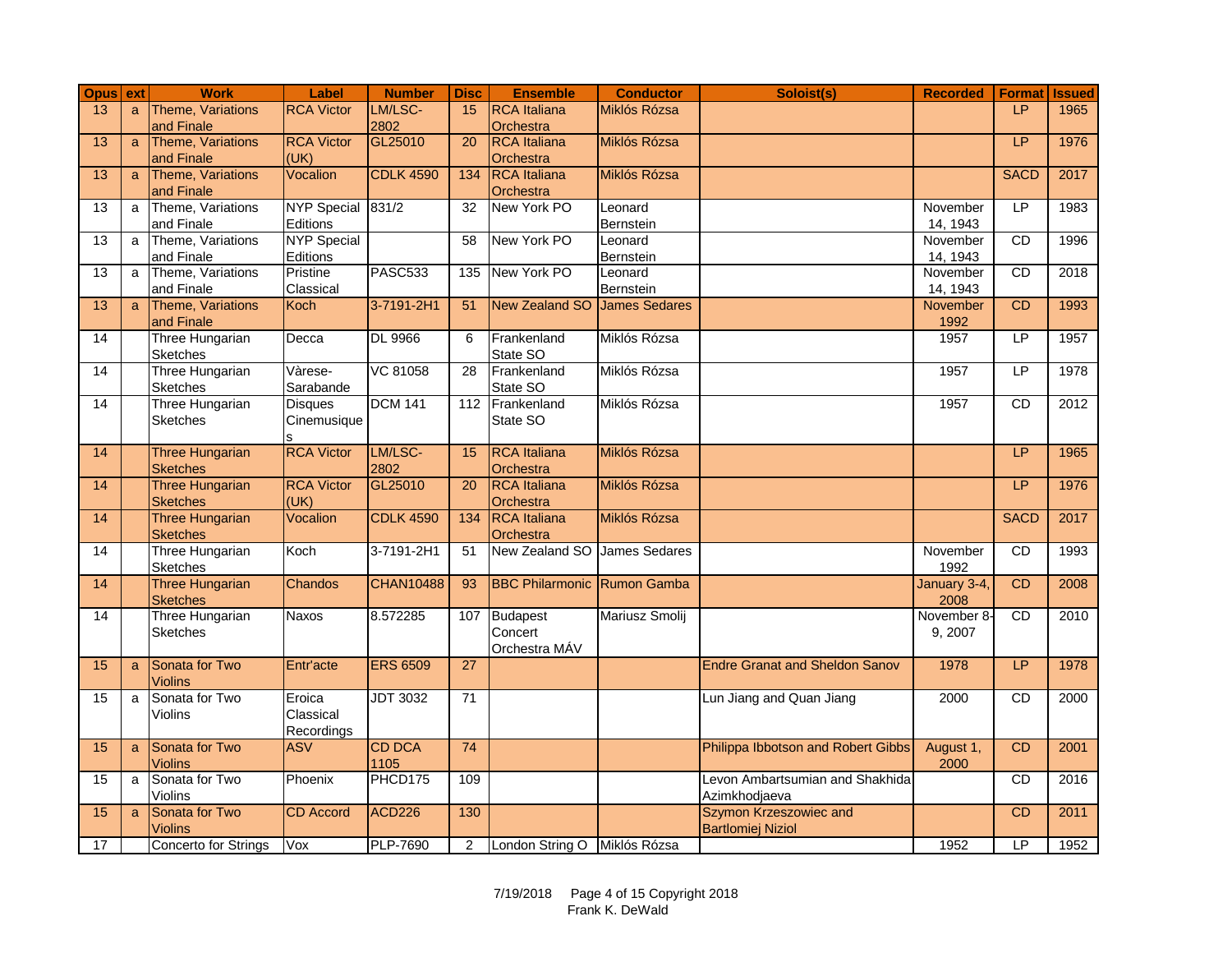| Opus ext        |              | <b>Work</b>                               | Label                    | <b>Number</b>    | <b>Disc</b>      | <b>Ensemble</b>                    | <b>Conductor</b>     | Soloist(s)                            | <b>Recorded</b>      | <b>Format</b>  | <b>Issued</b> |
|-----------------|--------------|-------------------------------------------|--------------------------|------------------|------------------|------------------------------------|----------------------|---------------------------------------|----------------------|----------------|---------------|
| 13              | a            | Theme, Variations                         | <b>RCA Victor</b>        | LM/LSC-          | 15               | <b>RCA</b> Italiana                | Miklós Rózsa         |                                       |                      | IP             | 1965          |
|                 |              | and Finale                                |                          | 2802             |                  | Orchestra                          |                      |                                       |                      |                |               |
| 13              | $\mathsf{a}$ | Theme, Variations                         | <b>RCA Victor</b>        | GL25010          | 20               | <b>RCA</b> Italiana                | Miklós Rózsa         |                                       |                      | LP             | 1976          |
|                 |              | and Finale                                | (UK)                     |                  |                  | Orchestra                          |                      |                                       |                      |                |               |
| 13              | a            | Theme, Variations                         | Vocalion                 | <b>CDLK 4590</b> | $\overline{134}$ | <b>RCA</b> Italiana                | Miklós Rózsa         |                                       |                      | <b>SACD</b>    | 2017          |
|                 |              | and Finale<br>Theme, Variations           | <b>NYP Special</b>       | 831/2            |                  | Orchestra<br>New York PO           |                      |                                       |                      | LP             |               |
| $\overline{13}$ | a            | and Finale                                | Editions                 |                  | 32               |                                    | Leonard<br>Bernstein |                                       | November<br>14, 1943 |                | 1983          |
| 13              | a            | Theme, Variations                         | <b>NYP</b> Special       |                  | 58               | New York PO                        | Leonard              |                                       | November             | CD             | 1996          |
|                 |              | and Finale                                | Editions                 |                  |                  |                                    | Bernstein            |                                       | 14, 1943             |                |               |
| $\overline{13}$ | a            | Theme, Variations                         | Pristine                 | PASC533          | $\overline{135}$ | New York PO                        | Leonard              |                                       | November             | CD             | 2018          |
|                 |              | and Finale                                | Classical                |                  |                  |                                    | Bernstein            |                                       | 14, 1943             |                |               |
| 13              | $\mathsf{a}$ | Theme, Variations                         | Koch                     | 3-7191-2H1       | 51               | New Zealand SO                     | <b>James Sedares</b> |                                       | November             | CD             | 1993          |
|                 |              | and Finale                                |                          |                  |                  |                                    |                      |                                       | 1992                 |                |               |
| 14              |              | Three Hungarian                           | Decca                    | <b>DL 9966</b>   | 6                | Frankenland                        | Miklós Rózsa         |                                       | 1957                 | LP             | 1957          |
|                 |              | Sketches                                  |                          |                  |                  | State SO                           |                      |                                       |                      |                |               |
| $\overline{14}$ |              | Three Hungarian                           | Vàrese-                  | VC 81058         | 28               | Frankenland                        | Miklós Rózsa         |                                       | 1957                 | LP             | 1978          |
|                 |              | <b>Sketches</b>                           | Sarabande                |                  |                  | State SO                           |                      |                                       |                      |                |               |
| 14              |              | Three Hungarian                           | <b>Disques</b>           | <b>DCM 141</b>   |                  | 112 Frankenland                    | Miklós Rózsa         |                                       | 1957                 | <b>CD</b>      | 2012          |
|                 |              | <b>Sketches</b>                           | Cinemusique              |                  |                  | State SO                           |                      |                                       |                      |                |               |
|                 |              |                                           |                          |                  |                  |                                    |                      |                                       |                      |                |               |
| 14              |              | <b>Three Hungarian</b>                    | <b>RCA Victor</b>        | LM/LSC-          | 15               | <b>RCA</b> Italiana                | Miklós Rózsa         |                                       |                      | I <sub>P</sub> | 1965          |
| 14              |              | <b>Sketches</b><br><b>Three Hungarian</b> | <b>RCA Victor</b>        | 2802<br>GL25010  | $\overline{20}$  | Orchestra<br><b>RCA</b> Italiana   | Miklós Rózsa         |                                       |                      | LP             | 1976          |
|                 |              | <b>Sketches</b>                           | (UK)                     |                  |                  | Orchestra                          |                      |                                       |                      |                |               |
| 14              |              | Three Hungarian                           | Vocalion                 | <b>CDLK 4590</b> | 134              | <b>RCA</b> Italiana                | Miklós Rózsa         |                                       |                      | <b>SACD</b>    | 2017          |
|                 |              | <b>Sketches</b>                           |                          |                  |                  | Orchestra                          |                      |                                       |                      |                |               |
| 14              |              | Three Hungarian                           | Koch                     | 3-7191-2H1       | 51               | New Zealand SO James Sedares       |                      |                                       | November             | CD             | 1993          |
|                 |              | <b>Sketches</b>                           |                          |                  |                  |                                    |                      |                                       | 1992                 |                |               |
| 14              |              | <b>Three Hungarian</b>                    | Chandos                  | <b>CHAN10488</b> | 93               | <b>BBC Philarmonic Rumon Gamba</b> |                      |                                       | January 3-4,         | CD             | 2008          |
|                 |              | <b>Sketches</b>                           |                          |                  |                  |                                    |                      |                                       | 2008                 |                |               |
| 14              |              | Three Hungarian                           | <b>Naxos</b>             | 8.572285         |                  | 107 Budapest                       | Mariusz Smolij       |                                       | November 8-          | <b>CD</b>      | 2010          |
|                 |              | <b>Sketches</b>                           |                          |                  |                  | Concert                            |                      |                                       | 9,2007               |                |               |
|                 |              |                                           |                          |                  |                  | Orchestra MÁV                      |                      |                                       |                      |                |               |
| 15              | $\mathbf{a}$ | Sonata for Two                            | Entr'acte                | <b>ERS 6509</b>  | 27               |                                    |                      | <b>Endre Granat and Sheldon Sanov</b> | 1978                 | LP.            | 1978          |
|                 |              | <b>Violins</b>                            |                          |                  |                  |                                    |                      |                                       |                      |                |               |
| 15              | a            | Sonata for Two                            | Eroica                   | <b>JDT 3032</b>  | 71               |                                    |                      | Lun Jiang and Quan Jiang              | 2000                 | <b>CD</b>      | 2000          |
|                 |              | Violins                                   | Classical                |                  |                  |                                    |                      |                                       |                      |                |               |
| 15              |              | Sonata for Two                            | Recordings<br><b>ASV</b> | <b>CD DCA</b>    | $\overline{74}$  |                                    |                      | Philippa Ibbotson and Robert Gibbs    |                      | CD             | 2001          |
|                 | $\mathbf{a}$ | <b>Violins</b>                            |                          | 1105             |                  |                                    |                      |                                       | August 1,<br>2000    |                |               |
| 15              | a            | Sonata for Two                            | Phoenix                  | PHCD175          | 109              |                                    |                      | Levon Ambartsumian and Shakhida       |                      | <b>CD</b>      | 2016          |
|                 |              | <b>Violins</b>                            |                          |                  |                  |                                    |                      | Azimkhodjaeva                         |                      |                |               |
| 15              | a            | Sonata for Two                            | <b>CD</b> Accord         | <b>ACD226</b>    | 130              |                                    |                      | Szymon Krzeszowiec and                |                      | <b>CD</b>      | 2011          |
|                 |              | <b>Violins</b>                            |                          |                  |                  |                                    |                      | <b>Bartlomiej Niziol</b>              |                      |                |               |
| 17              |              | Concerto for Strings                      | Vox                      | <b>PLP-7690</b>  | 2                | London String O Miklós Rózsa       |                      |                                       | 1952                 | LP             | 1952          |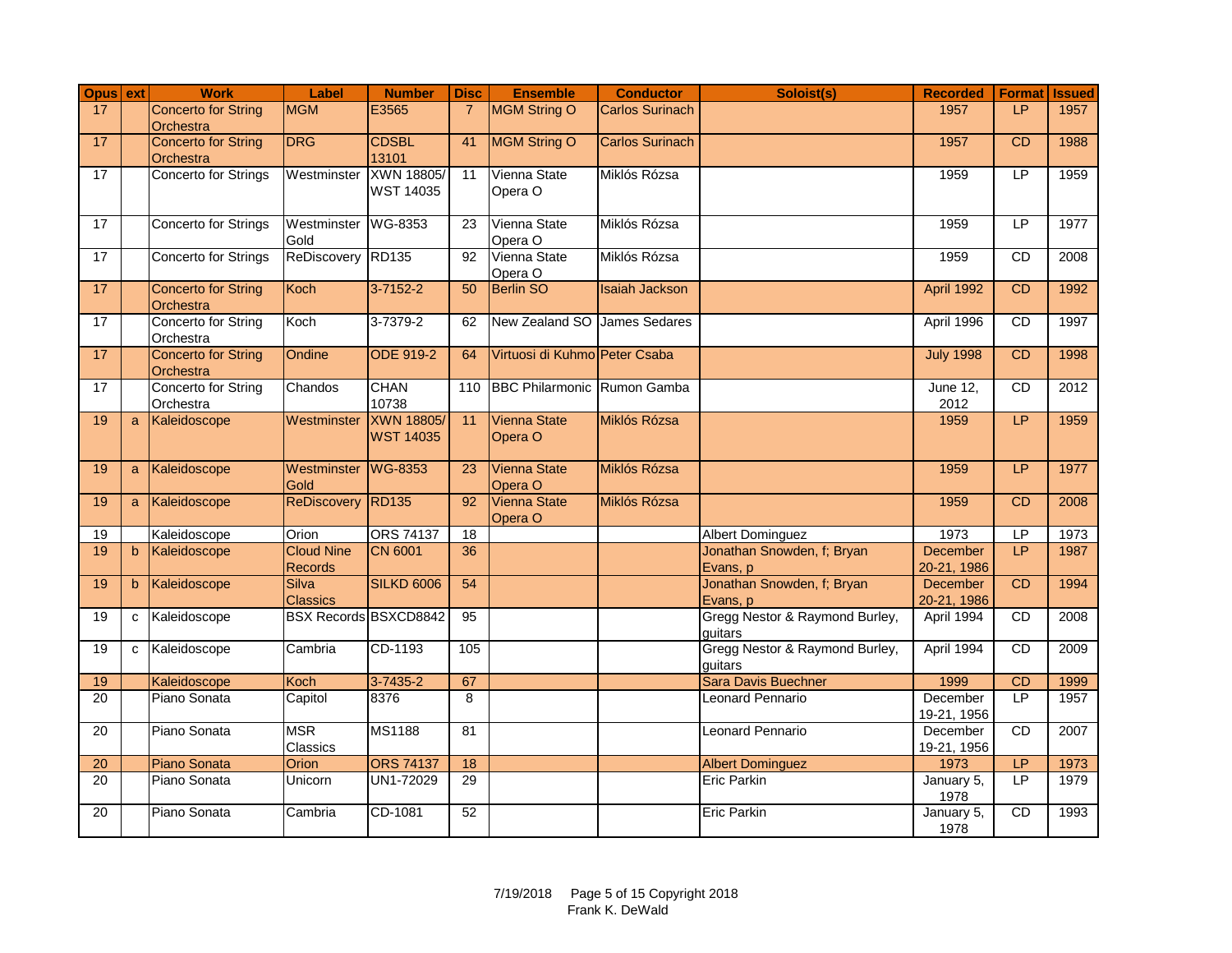| Opus ext        |              | <b>Work</b>                             | Label                               | <b>Number</b>                        | <b>Disc</b>     | <b>Ensemble</b>                    | <b>Conductor</b>       | Soloist(s)                                | <b>Recorded</b>         | <b>Format</b> | <b>Issued</b> |
|-----------------|--------------|-----------------------------------------|-------------------------------------|--------------------------------------|-----------------|------------------------------------|------------------------|-------------------------------------------|-------------------------|---------------|---------------|
| 17              |              | <b>Concerto for String</b><br>Orchestra | <b>MGM</b>                          | E3565                                | $\overline{7}$  | <b>MGM String O</b>                | <b>Carlos Surinach</b> |                                           | 1957                    | LP            | 1957          |
| 17              |              | <b>Concerto for String</b><br>Orchestra | <b>DRG</b>                          | <b>CDSBL</b><br>13101                | 41              | MGM String O                       | <b>Carlos Surinach</b> |                                           | 1957                    | <b>CD</b>     | 1988          |
| 17              |              | Concerto for Strings                    | Westminster                         | XWN 18805/<br><b>WST 14035</b>       | 11              | Vienna State<br>Opera O            | Miklós Rózsa           |                                           | 1959                    | LP            | 1959          |
| 17              |              | Concerto for Strings                    | Westminster WG-8353<br>Gold         |                                      | 23              | Vienna State<br>Opera O            | Miklós Rózsa           |                                           | 1959                    | LP            | 1977          |
| 17              |              | Concerto for Strings                    | ReDiscovery                         | <b>RD135</b>                         | 92              | Vienna State<br>Opera O            | Miklós Rózsa           |                                           | 1959                    | CD            | 2008          |
| 17              |              | <b>Concerto for String</b><br>Orchestra | Koch                                | 3-7152-2                             | 50              | <b>Berlin SO</b>                   | <b>Isaiah Jackson</b>  |                                           | April 1992              | CD            | 1992          |
| 17              |              | Concerto for String<br>Orchestra        | Koch                                | 3-7379-2                             | 62              | New Zealand SO James Sedares       |                        |                                           | April 1996              | <b>CD</b>     | 1997          |
| 17              |              | <b>Concerto for String</b><br>Orchestra | Ondine                              | <b>ODE 919-2</b>                     | 64              | Virtuosi di Kuhmo Peter Csaba      |                        |                                           | <b>July 1998</b>        | CD            | 1998          |
| 17              |              | Concerto for String<br>Orchestra        | Chandos                             | <b>CHAN</b><br>10738                 | 110             | <b>BBC Philarmonic Rumon Gamba</b> |                        |                                           | June 12,<br>2012        | CD            | 2012          |
| 19              | a            | Kaleidoscope                            | Westminster                         | <b>XWN 18805</b><br><b>WST 14035</b> | 11              | <b>Vienna State</b><br>Opera O     | Miklós Rózsa           |                                           | 1959                    | LP            | 1959          |
| 19              | a            | Kaleidoscope                            | Westminster<br>Gold                 | <b>WG-8353</b>                       | $\overline{23}$ | <b>Vienna State</b><br>Opera O     | Miklós Rózsa           |                                           | 1959                    | LP            | 1977          |
| 19              | a            | Kaleidoscope                            | ReDiscovery RD135                   |                                      | $\overline{92}$ | Vienna State<br>Opera O            | Miklós Rózsa           |                                           | 1959                    | CD            | 2008          |
| 19              |              | Kaleidoscope                            | Orion                               | <b>ORS 74137</b>                     | 18              |                                    |                        | <b>Albert Dominguez</b>                   | 1973                    | LP            | 1973          |
| 19              | b            | Kaleidoscope                            | <b>Cloud Nine</b><br><b>Records</b> | <b>CN 6001</b>                       | $\overline{36}$ |                                    |                        | Jonathan Snowden, f; Bryan<br>Evans, p    | December<br>20-21, 1986 | LP            | 1987          |
| 19              | $\mathbf b$  | Kaleidoscope                            | <b>Silva</b><br>Classics            | <b>SILKD 6006</b>                    | $\overline{54}$ |                                    |                        | Jonathan Snowden, f; Bryan<br>Evans, p    | December<br>20-21, 1986 | <b>CD</b>     | 1994          |
| 19              | $\mathbf{C}$ | Kaleidoscope                            | <b>BSX Records BSXCD8842</b>        |                                      | 95              |                                    |                        | Gregg Nestor & Raymond Burley,<br>quitars | April 1994              | <b>CD</b>     | 2008          |
| 19              | $\mathbf{C}$ | Kaleidoscope                            | Cambria                             | CD-1193                              | 105             |                                    |                        | Gregg Nestor & Raymond Burley,<br>guitars | April 1994              | CD            | 2009          |
| 19              |              | Kaleidoscope                            | Koch                                | $3 - 7435 - 2$                       | 67              |                                    |                        | <b>Sara Davis Buechner</b>                | 1999                    | CD            | 1999          |
| 20              |              | Piano Sonata                            | Capitol                             | 8376                                 | 8               |                                    |                        | <b>Leonard Pennario</b>                   | December<br>19-21, 1956 | LP            | 1957          |
| 20              |              | Piano Sonata                            | <b>MSR</b><br>Classics              | <b>MS1188</b>                        | 81              |                                    |                        | <b>Leonard Pennario</b>                   | December<br>19-21, 1956 | CD            | 2007          |
| 20              |              | Piano Sonata                            | <b>Orion</b>                        | <b>ORS 74137</b>                     | 18              |                                    |                        | <b>Albert Dominguez</b>                   | 1973                    | LP.           | 1973          |
| $\overline{20}$ |              | Piano Sonata                            | Unicorn                             | UN1-72029                            | 29              |                                    |                        | <b>Eric Parkin</b>                        | January 5,<br>1978      | LP            | 1979          |
| 20              |              | Piano Sonata                            | Cambria                             | CD-1081                              | 52              |                                    |                        | <b>Eric Parkin</b>                        | January 5,<br>1978      | CD            | 1993          |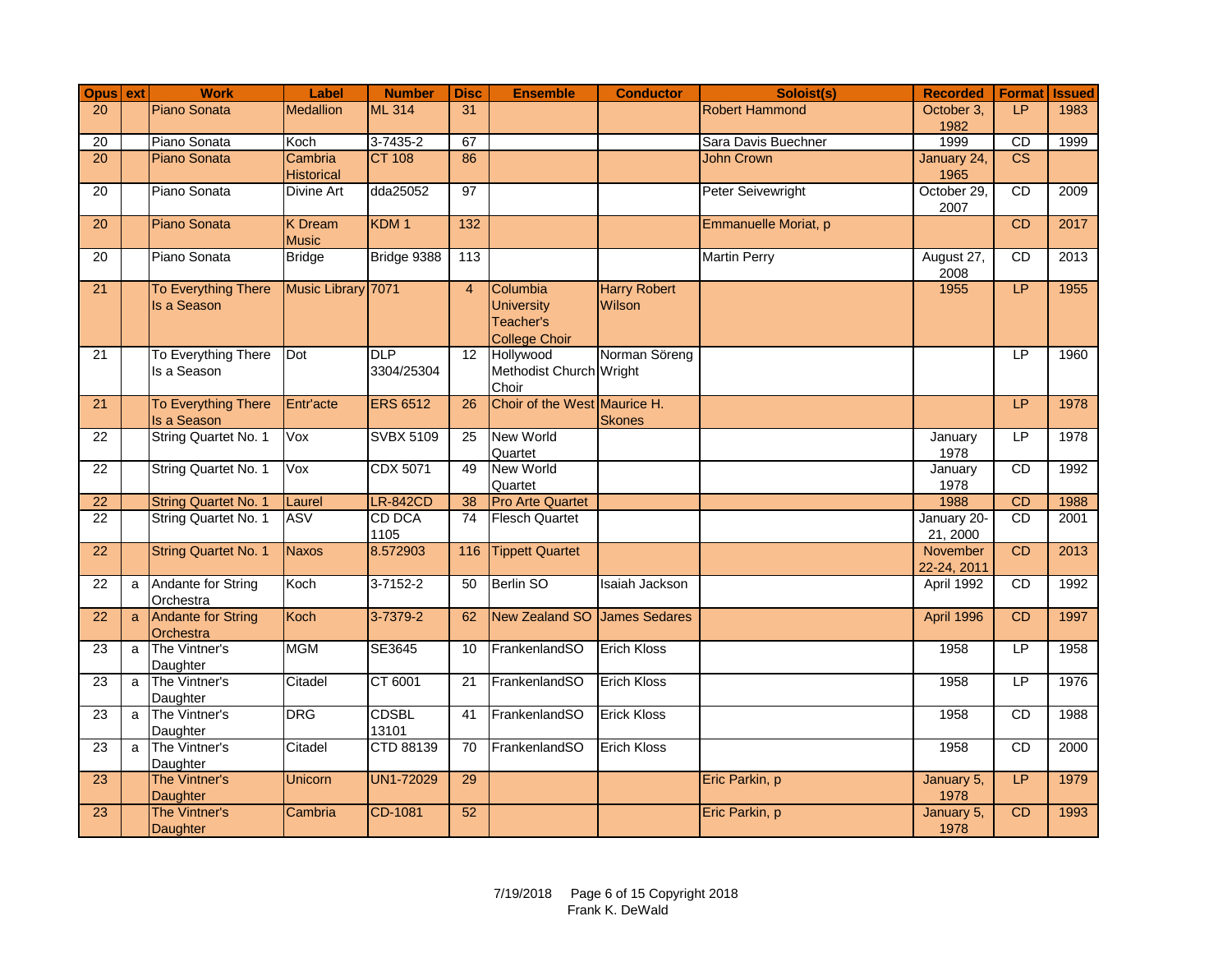|                                               | Opus ext    | <b>Work</b>                                                                                                                                                      | Label                                                                | <b>Number</b>                                                                          | <b>Disc</b>                | <b>Ensemble</b>                                                  | <b>Conductor</b>                                                                     | Soloist(s)                       | <b>Recorded</b>                                                  | <b>Format Issued</b>        |                                      |
|-----------------------------------------------|-------------|------------------------------------------------------------------------------------------------------------------------------------------------------------------|----------------------------------------------------------------------|----------------------------------------------------------------------------------------|----------------------------|------------------------------------------------------------------|--------------------------------------------------------------------------------------|----------------------------------|------------------------------------------------------------------|-----------------------------|--------------------------------------|
| $\overline{20}$                               |             | Piano Sonata                                                                                                                                                     | <b>Medallion</b>                                                     | <b>ML 314</b>                                                                          | 31                         |                                                                  |                                                                                      | <b>Robert Hammond</b>            | October 3.                                                       | LP                          | 1983                                 |
|                                               |             |                                                                                                                                                                  |                                                                      |                                                                                        |                            |                                                                  |                                                                                      |                                  | 1982                                                             |                             |                                      |
| 20                                            |             | Piano Sonata                                                                                                                                                     | Koch                                                                 | 3-7435-2                                                                               | 67                         |                                                                  |                                                                                      | Sara Davis Buechner              | 1999                                                             | CD                          | 1999                                 |
| $\overline{20}$                               |             | Piano Sonata                                                                                                                                                     | Cambria                                                              | <b>CT 108</b>                                                                          | 86                         |                                                                  |                                                                                      | <b>John Crown</b>                | January 24,                                                      | $\overline{\text{CS}}$      |                                      |
|                                               |             |                                                                                                                                                                  | <b>Historical</b>                                                    |                                                                                        |                            |                                                                  |                                                                                      |                                  | 1965                                                             |                             |                                      |
| $\overline{20}$                               |             | Piano Sonata                                                                                                                                                     | Divine Art                                                           | dda25052                                                                               | 97                         |                                                                  |                                                                                      | Peter Seivewright                | October 29,                                                      | CD                          | 2009                                 |
|                                               |             |                                                                                                                                                                  |                                                                      |                                                                                        |                            |                                                                  |                                                                                      |                                  | 2007                                                             |                             |                                      |
| 20                                            |             | Piano Sonata                                                                                                                                                     | <b>K</b> Dream                                                       | KDM <sub>1</sub>                                                                       | $\overline{132}$           |                                                                  |                                                                                      | Emmanuelle Moriat, p             |                                                                  | CD                          | 2017                                 |
|                                               |             |                                                                                                                                                                  | <b>Music</b>                                                         |                                                                                        |                            |                                                                  |                                                                                      |                                  |                                                                  |                             |                                      |
| 20                                            |             | Piano Sonata                                                                                                                                                     | <b>Bridge</b>                                                        | Bridge 9388                                                                            | 113                        |                                                                  |                                                                                      | <b>Martin Perry</b>              | August 27,                                                       | CD                          | 2013                                 |
|                                               |             |                                                                                                                                                                  |                                                                      |                                                                                        |                            |                                                                  |                                                                                      |                                  | 2008                                                             |                             |                                      |
| $\overline{21}$                               |             | <b>To Everything There</b>                                                                                                                                       | Music Library 7071                                                   |                                                                                        | $\overline{4}$             | Columbia                                                         | <b>Harry Robert</b>                                                                  |                                  | 1955                                                             | LP                          | 1955                                 |
|                                               |             | Is a Season                                                                                                                                                      |                                                                      |                                                                                        |                            | <b>University</b>                                                | Wilson                                                                               |                                  |                                                                  |                             |                                      |
|                                               |             |                                                                                                                                                                  |                                                                      |                                                                                        |                            | Teacher's                                                        |                                                                                      |                                  |                                                                  |                             |                                      |
|                                               |             |                                                                                                                                                                  |                                                                      |                                                                                        |                            | <b>College Choir</b>                                             |                                                                                      |                                  |                                                                  |                             |                                      |
| 21                                            |             | To Everything There                                                                                                                                              | Dot                                                                  | <b>DLP</b>                                                                             | 12                         | Hollywood                                                        | Norman Söreng                                                                        |                                  |                                                                  | LP                          | 1960                                 |
|                                               |             | Is a Season                                                                                                                                                      |                                                                      | 3304/25304                                                                             |                            | Methodist Church Wright                                          |                                                                                      |                                  |                                                                  |                             |                                      |
|                                               |             |                                                                                                                                                                  |                                                                      |                                                                                        |                            | Choir                                                            |                                                                                      |                                  |                                                                  |                             |                                      |
| 21                                            |             | <b>To Everything There</b>                                                                                                                                       | Entr'acte                                                            | <b>ERS 6512</b>                                                                        | 26                         | Choir of the West Maurice H.                                     |                                                                                      |                                  |                                                                  | <b>LP</b>                   | 1978                                 |
|                                               |             | Is a Season                                                                                                                                                      |                                                                      |                                                                                        |                            |                                                                  | <b>Skones</b>                                                                        |                                  |                                                                  |                             |                                      |
| 22                                            |             | String Quartet No. 1                                                                                                                                             | Vox                                                                  | <b>SVBX 5109</b>                                                                       | 25                         | New World                                                        |                                                                                      |                                  | January                                                          | LP                          | 1978                                 |
|                                               |             |                                                                                                                                                                  |                                                                      |                                                                                        |                            | Quartet                                                          |                                                                                      |                                  | 1978                                                             |                             |                                      |
| $\overline{22}$                               |             | String Quartet No. 1                                                                                                                                             | Vox                                                                  | <b>CDX 5071</b>                                                                        | 49                         | <b>New World</b>                                                 |                                                                                      |                                  | January                                                          | CD                          | 1992                                 |
|                                               |             |                                                                                                                                                                  |                                                                      |                                                                                        |                            | Quartet                                                          |                                                                                      |                                  | 1978                                                             |                             |                                      |
| $\overline{22}$                               |             | <b>String Quartet No. 1</b>                                                                                                                                      | Laurel                                                               | <b>LR-842CD</b>                                                                        | 38                         | <b>Pro Arte Quartet</b>                                          |                                                                                      |                                  | 1988                                                             | CD                          | 1988                                 |
| $\overline{22}$                               |             | String Quartet No. 1                                                                                                                                             | <b>ASV</b>                                                           | CD DCA                                                                                 | 74                         | <b>Flesch Quartet</b>                                            |                                                                                      |                                  | January 20-                                                      | CD                          | 2001                                 |
|                                               |             |                                                                                                                                                                  |                                                                      | 1105                                                                                   |                            |                                                                  |                                                                                      |                                  | 21, 2000                                                         |                             |                                      |
| $\overline{22}$                               |             | <b>String Quartet No. 1</b>                                                                                                                                      | <b>Naxos</b>                                                         | 8.572903                                                                               | 116                        | <b>Tippett Quartet</b>                                           |                                                                                      |                                  | November                                                         | CD                          | 2013                                 |
|                                               |             |                                                                                                                                                                  |                                                                      |                                                                                        |                            |                                                                  |                                                                                      |                                  | 22-24, 2011                                                      |                             |                                      |
| 22                                            | a           | Andante for String                                                                                                                                               | Koch                                                                 | $3 - 7152 - 2$                                                                         | 50                         | Berlin SO                                                        | Isaiah Jackson                                                                       |                                  | April 1992                                                       | CD                          | 1992                                 |
|                                               |             | Orchestra                                                                                                                                                        |                                                                      |                                                                                        |                            |                                                                  |                                                                                      |                                  |                                                                  |                             |                                      |
| 22                                            | a           | <b>Andante for String</b>                                                                                                                                        | Koch                                                                 | 3-7379-2                                                                               | 62                         | New Zealand SO James Sedares                                     |                                                                                      |                                  | April 1996                                                       | CD                          | 1997                                 |
|                                               |             | Orchestra                                                                                                                                                        |                                                                      |                                                                                        |                            |                                                                  |                                                                                      |                                  |                                                                  |                             |                                      |
|                                               | a           | The Vintner's                                                                                                                                                    |                                                                      |                                                                                        | 10                         |                                                                  |                                                                                      |                                  | 1958                                                             | LP                          | 1958                                 |
|                                               |             |                                                                                                                                                                  |                                                                      |                                                                                        |                            |                                                                  |                                                                                      |                                  |                                                                  |                             |                                      |
|                                               |             |                                                                                                                                                                  |                                                                      |                                                                                        |                            |                                                                  |                                                                                      |                                  |                                                                  | <b>LP</b>                   |                                      |
|                                               |             |                                                                                                                                                                  |                                                                      |                                                                                        |                            |                                                                  |                                                                                      |                                  |                                                                  |                             |                                      |
|                                               |             |                                                                                                                                                                  |                                                                      |                                                                                        |                            |                                                                  |                                                                                      |                                  |                                                                  |                             |                                      |
|                                               |             |                                                                                                                                                                  |                                                                      |                                                                                        |                            |                                                                  |                                                                                      |                                  |                                                                  |                             |                                      |
|                                               |             |                                                                                                                                                                  |                                                                      |                                                                                        |                            |                                                                  |                                                                                      |                                  |                                                                  |                             |                                      |
|                                               |             |                                                                                                                                                                  |                                                                      |                                                                                        |                            |                                                                  |                                                                                      |                                  |                                                                  |                             |                                      |
|                                               |             |                                                                                                                                                                  |                                                                      |                                                                                        |                            |                                                                  |                                                                                      |                                  |                                                                  |                             |                                      |
|                                               |             |                                                                                                                                                                  |                                                                      |                                                                                        |                            |                                                                  |                                                                                      |                                  |                                                                  |                             |                                      |
|                                               |             |                                                                                                                                                                  |                                                                      |                                                                                        |                            |                                                                  |                                                                                      |                                  |                                                                  |                             |                                      |
|                                               |             |                                                                                                                                                                  |                                                                      |                                                                                        |                            |                                                                  |                                                                                      |                                  |                                                                  |                             |                                      |
| 23<br>23<br>23<br>23<br>23<br>$\overline{23}$ | a<br>a<br>a | Daughter<br>The Vintner's<br>Daughter<br>The Vintner's<br>Daughter<br>The Vintner's<br>Daughter<br>The Vintner's<br>Daughter<br>The Vintner's<br><b>Daughter</b> | <b>MGM</b><br>Citadel<br><b>DRG</b><br>Citadel<br>Unicorn<br>Cambria | SE3645<br>CT 6001<br><b>CDSBL</b><br>13101<br>CTD 88139<br><b>UN1-72029</b><br>CD-1081 | 21<br>41<br>70<br>29<br>52 | FrankenlandSO<br>FrankenlandSO<br>FrankenlandSO<br>FrankenlandSO | <b>Erich Kloss</b><br><b>Erich Kloss</b><br><b>Erick Kloss</b><br><b>Erich Kloss</b> | Eric Parkin, p<br>Eric Parkin, p | 1958<br>1958<br>1958<br>January 5,<br>1978<br>January 5,<br>1978 | CD<br><b>CD</b><br>LP<br>CD | 1976<br>1988<br>2000<br>1979<br>1993 |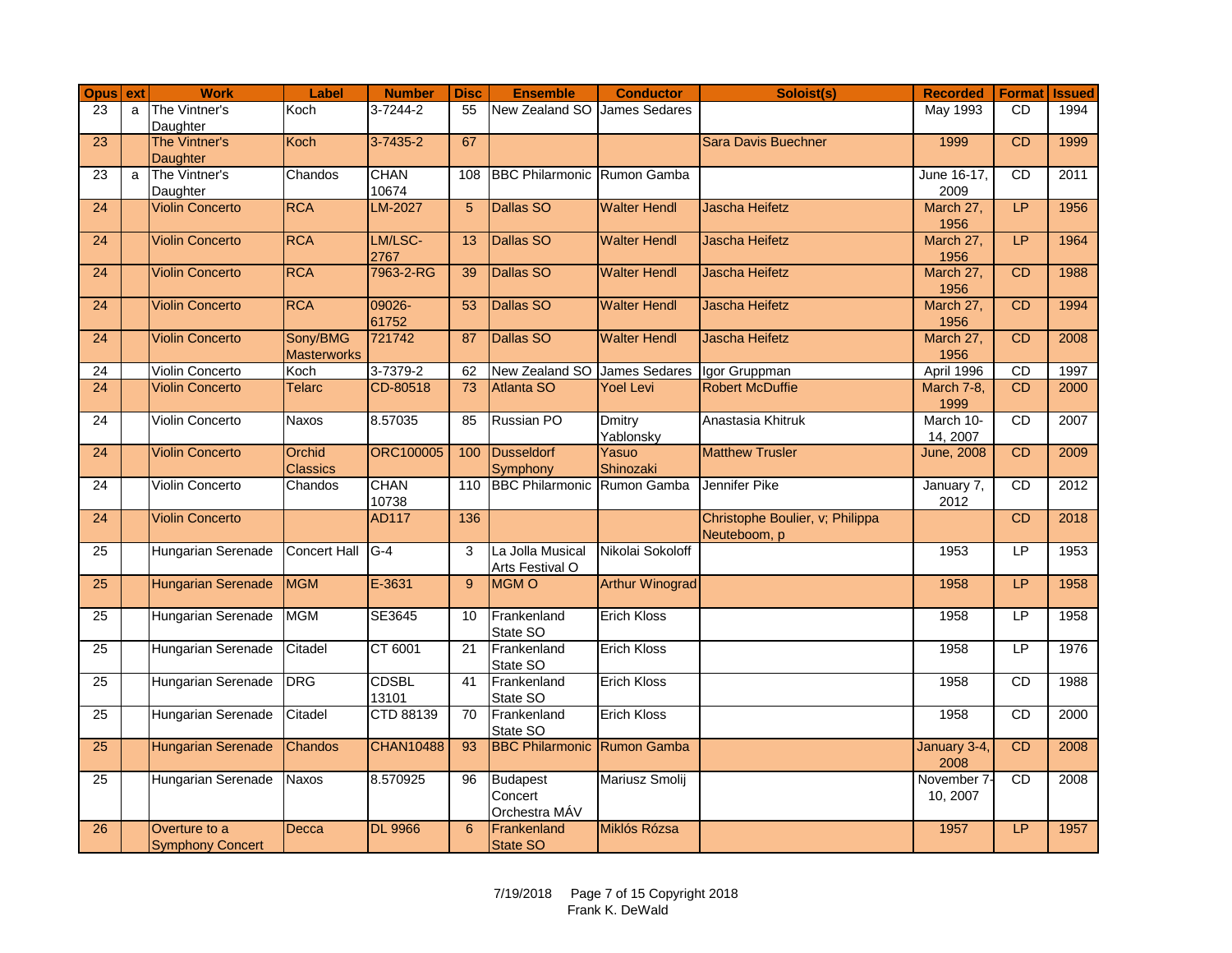| Opus ext        |   | <b>Work</b>                        | Label               | <b>Number</b>    | <b>Disc</b>     | <b>Ensemble</b>                                | <b>Conductor</b>       | Soloist(s)                      | <b>Recorded</b>      | <b>Format</b> | <b>Issued</b> |
|-----------------|---|------------------------------------|---------------------|------------------|-----------------|------------------------------------------------|------------------------|---------------------------------|----------------------|---------------|---------------|
| 23              | a | The Vintner's                      | Koch                | 3-7244-2         | 55              | New Zealand SO                                 | <b>James Sedares</b>   |                                 | May 1993             | <b>CD</b>     | 1994          |
|                 |   | Daughter                           |                     |                  |                 |                                                |                        |                                 |                      |               |               |
| 23              |   | The Vintner's                      | Koch                | $3 - 7435 - 2$   | 67              |                                                |                        | <b>Sara Davis Buechner</b>      | 1999                 | <b>CD</b>     | 1999          |
|                 |   | Daughter                           |                     |                  |                 |                                                |                        |                                 |                      |               |               |
| $\overline{23}$ | a | The Vintner's                      | Chandos             | <b>CHAN</b>      | 108             | <b>BBC Philarmonic Rumon Gamba</b>             |                        |                                 | June 16-17,          | CD            | 2011          |
| $\overline{24}$ |   | Daughter<br><b>Violin Concerto</b> | <b>RCA</b>          | 10674<br>LM-2027 | 5               | Dallas SO                                      | <b>Walter Hendl</b>    | <b>Jascha Heifetz</b>           | 2009<br>March 27,    | LP            | 1956          |
|                 |   |                                    |                     |                  |                 |                                                |                        |                                 | 1956                 |               |               |
| $\overline{24}$ |   | <b>Violin Concerto</b>             | <b>RCA</b>          | LM/LSC-          | 13              | Dallas SO                                      | <b>Walter Hendl</b>    | <b>Jascha Heifetz</b>           | March 27,            | LP            | 1964          |
|                 |   |                                    |                     | 2767             |                 |                                                |                        |                                 | 1956                 |               |               |
| $\overline{24}$ |   | <b>Violin Concerto</b>             | <b>RCA</b>          | 7963-2-RG        | 39              | Dallas SO                                      | <b>Walter Hendl</b>    | Jascha Heifetz                  | March 27,            | CD            | 1988          |
|                 |   |                                    |                     |                  |                 |                                                |                        |                                 | 1956                 |               |               |
| $\overline{24}$ |   | <b>Violin Concerto</b>             | <b>RCA</b>          | 09026-           | 53              | Dallas SO                                      | <b>Walter Hendl</b>    | Jascha Heifetz                  | March 27,            | CD            | 1994          |
|                 |   |                                    |                     | 61752            |                 |                                                |                        |                                 | 1956                 |               |               |
| 24              |   | <b>Violin Concerto</b>             | Sony/BMG            | 721742           | 87              | Dallas SO                                      | <b>Walter Hendl</b>    | <b>Jascha Heifetz</b>           | March 27,            | CD            | 2008          |
|                 |   |                                    | <b>Masterworks</b>  |                  |                 |                                                |                        |                                 | 1956                 |               |               |
| 24              |   | <b>Violin Concerto</b>             | Koch                | 3-7379-2         | 62              | New Zealand SO James Sedares                   |                        | Igor Gruppman                   | April 1996           | CD            | 1997          |
| 24              |   | <b>Violin Concerto</b>             | <b>Telarc</b>       | CD-80518         | $\overline{73}$ | <b>Atlanta SO</b>                              | <b>Yoel Levi</b>       | <b>Robert McDuffie</b>          | March 7-8,           | CD            | 2000          |
|                 |   |                                    |                     |                  |                 |                                                |                        |                                 | 1999                 |               |               |
| 24              |   | <b>Violin Concerto</b>             | <b>Naxos</b>        | 8.57035          | 85              | <b>Russian PO</b>                              | <b>Dmitry</b>          | Anastasia Khitruk               | March 10-            | CD            | 2007          |
|                 |   |                                    |                     |                  |                 |                                                | Yablonsky              |                                 | 14, 2007             |               |               |
| 24              |   | <b>Violin Concerto</b>             | Orchid              | <b>ORC100005</b> | 100             | Dusseldorf                                     | Yasuo                  | <b>Matthew Trusler</b>          | <b>June, 2008</b>    | CD            | 2009          |
|                 |   | <b>Violin Concerto</b>             | <b>Classics</b>     | <b>CHAN</b>      | 110             | Symphony<br><b>BBC Philarmonic Rumon Gamba</b> | Shinozaki              | Jennifer Pike                   |                      | CD            | 2012          |
| 24              |   |                                    | Chandos             | 10738            |                 |                                                |                        |                                 | January 7,<br>2012   |               |               |
| $\overline{24}$ |   | <b>Violin Concerto</b>             |                     | <b>AD117</b>     | 136             |                                                |                        | Christophe Boulier, v; Philippa |                      | CD            | 2018          |
|                 |   |                                    |                     |                  |                 |                                                |                        | Neuteboom, p                    |                      |               |               |
| $\overline{25}$ |   | Hungarian Serenade                 | <b>Concert Hall</b> | $G-4$            | 3               | La Jolla Musical                               | Nikolai Sokoloff       |                                 | 1953                 | LP            | 1953          |
|                 |   |                                    |                     |                  |                 | Arts Festival O                                |                        |                                 |                      |               |               |
| $\overline{25}$ |   | <b>Hungarian Serenade</b>          | <b>MGM</b>          | E-3631           | 9               | <b>MGMO</b>                                    | <b>Arthur Winograd</b> |                                 | 1958                 | LP            | 1958          |
|                 |   |                                    |                     |                  |                 |                                                |                        |                                 |                      |               |               |
| 25              |   | Hungarian Serenade                 | <b>MGM</b>          | SE3645           | 10              | Frankenland                                    | <b>Erich Kloss</b>     |                                 | 1958                 | LP            | 1958          |
|                 |   |                                    |                     |                  |                 | State SO                                       |                        |                                 |                      |               |               |
| $\overline{25}$ |   | Hungarian Serenade                 | Citadel             | CT 6001          | 21              | Frankenland                                    | <b>Erich Kloss</b>     |                                 | 1958                 | LP            | 1976          |
|                 |   |                                    |                     |                  |                 | State SO                                       |                        |                                 |                      |               |               |
| 25              |   | Hungarian Serenade                 | <b>DRG</b>          | <b>CDSBL</b>     | 41              | Frankenland                                    | <b>Erich Kloss</b>     |                                 | 1958                 | <b>CD</b>     | 1988          |
|                 |   |                                    |                     | 13101            |                 | State SO                                       |                        |                                 |                      |               |               |
| 25              |   | Hungarian Serenade                 | Citadel             | CTD 88139        | 70              | Frankenland                                    | <b>Erich Kloss</b>     |                                 | 1958                 | <b>CD</b>     | 2000          |
|                 |   |                                    |                     |                  |                 | State SO                                       |                        |                                 |                      |               |               |
| 25              |   | <b>Hungarian Serenade</b>          | Chandos             | <b>CHAN10488</b> | 93              | <b>BBC Philarmonic Rumon Gamba</b>             |                        |                                 | January 3-4,<br>2008 | CD            | 2008          |
| 25              |   | Hungarian Serenade                 | Naxos               | 8.570925         | 96              | <b>Budapest</b>                                | Mariusz Smolij         |                                 | November 7           | CD            | 2008          |
|                 |   |                                    |                     |                  |                 | Concert                                        |                        |                                 | 10, 2007             |               |               |
|                 |   |                                    |                     |                  |                 | Orchestra MÁV                                  |                        |                                 |                      |               |               |
| 26              |   | Overture to a                      | Decca               | <b>DL 9966</b>   | 6               | Frankenland                                    | Miklós Rózsa           |                                 | 1957                 | LP            | 1957          |
|                 |   | <b>Symphony Concert</b>            |                     |                  |                 | State SO                                       |                        |                                 |                      |               |               |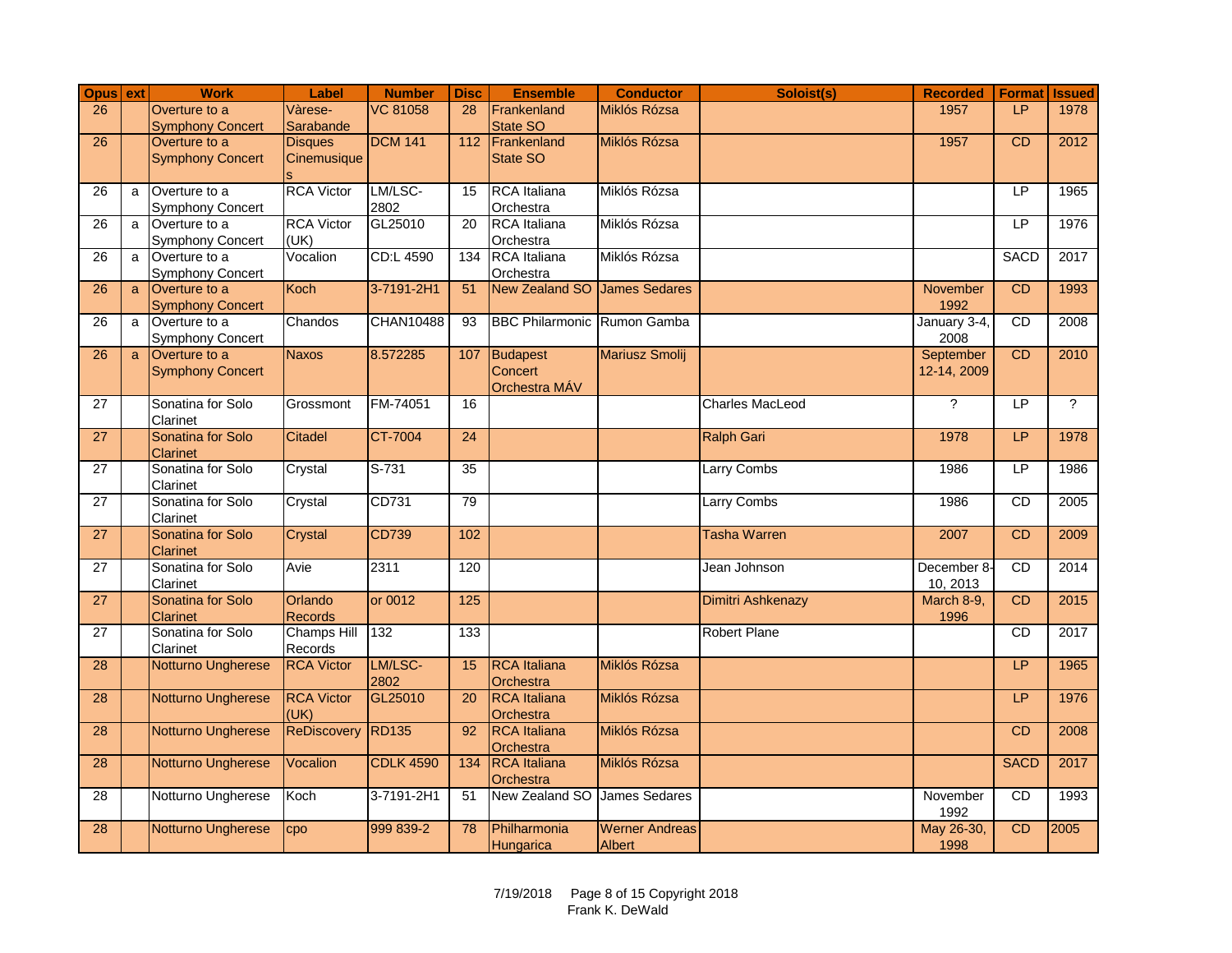| <b>Opus</b> ext |   | <b>Work</b>                              | Label                         | <b>Number</b>    | <b>Disc</b> | <b>Ensemble</b>                    | <b>Conductor</b>      | Soloist(s)             | <b>Recorded</b>          | <b>Format</b> | <b>Issued</b>  |
|-----------------|---|------------------------------------------|-------------------------------|------------------|-------------|------------------------------------|-----------------------|------------------------|--------------------------|---------------|----------------|
| 26              |   | Overture to a                            | Vàrese-                       | <b>VC 81058</b>  | 28          | Frankenland                        | Miklós Rózsa          |                        | 1957                     | LP            | 1978           |
|                 |   | <b>Symphony Concert</b>                  | Sarabande                     | <b>DCM 141</b>   |             | State SO                           |                       |                        |                          |               |                |
| $\overline{26}$ |   | Overture to a<br><b>Symphony Concert</b> | <b>Disques</b><br>Cinemusique |                  | 112         | Frankenland<br>State SO            | Miklós Rózsa          |                        | 1957                     | <b>CD</b>     | 2012           |
|                 |   |                                          |                               |                  |             |                                    |                       |                        |                          |               |                |
| 26              | a | Overture to a                            | <b>RCA Victor</b>             | LM/LSC-          | 15          | <b>RCA</b> Italiana                | Miklós Rózsa          |                        |                          | LP            | 1965           |
|                 |   | <b>Symphony Concert</b>                  |                               | 2802             |             | Orchestra                          |                       |                        |                          |               |                |
| $\overline{26}$ | a | Overture to a                            | <b>RCA Victor</b>             | GL25010          | 20          | RCA Italiana                       | Miklós Rózsa          |                        |                          | LP            | 1976           |
| 26              |   | <b>Symphony Concert</b><br>Overture to a | (UK)<br>Vocalion              | CD:L 4590        |             | Orchestra<br>134 RCA Italiana      | Miklós Rózsa          |                        |                          | <b>SACD</b>   | 2017           |
|                 | a | <b>Symphony Concert</b>                  |                               |                  |             | Orchestra                          |                       |                        |                          |               |                |
| 26              | a | Overture to a                            | Koch                          | 3-7191-2H1       | 51          | New Zealand SO James Sedares       |                       |                        | <b>November</b>          | <b>CD</b>     | 1993           |
|                 |   | <b>Symphony Concert</b>                  |                               |                  |             |                                    |                       |                        | 1992                     |               |                |
| 26              | a | Overture to a                            | Chandos                       | <b>CHAN10488</b> | 93          | <b>BBC Philarmonic Rumon Gamba</b> |                       |                        | January 3-4,             | CD            | 2008           |
|                 |   | <b>Symphony Concert</b>                  |                               |                  |             |                                    |                       |                        | 2008                     |               |                |
| 26              | a | Overture to a<br><b>Symphony Concert</b> | <b>Naxos</b>                  | 8.572285         |             | 107 Budapest<br>Concert            | <b>Mariusz Smolij</b> |                        | September<br>12-14, 2009 | <b>CD</b>     | 2010           |
|                 |   |                                          |                               |                  |             | Orchestra MÁV                      |                       |                        |                          |               |                |
| 27              |   | Sonatina for Solo                        | Grossmont                     | FM-74051         | 16          |                                    |                       | <b>Charles MacLeod</b> | $\overline{?}$           | LP            | $\overline{?}$ |
|                 |   | Clarinet                                 |                               |                  |             |                                    |                       |                        |                          |               |                |
| 27              |   | <b>Sonatina for Solo</b>                 | Citadel                       | CT-7004          | 24          |                                    |                       | <b>Ralph Gari</b>      | 1978                     | LP            | 1978           |
|                 |   | <b>Clarinet</b>                          |                               |                  |             |                                    |                       |                        |                          |               |                |
| 27              |   | Sonatina for Solo<br>Clarinet            | Crystal                       | $S-731$          | 35          |                                    |                       | Larry Combs            | 1986                     | LP            | 1986           |
| $\overline{27}$ |   | Sonatina for Solo                        | Crystal                       | CD731            | 79          |                                    |                       | <b>Larry Combs</b>     | 1986                     | CD            | 2005           |
|                 |   | Clarinet                                 |                               |                  |             |                                    |                       |                        |                          |               |                |
| $\overline{27}$ |   | Sonatina for Solo                        | Crystal                       | <b>CD739</b>     | 102         |                                    |                       | <b>Tasha Warren</b>    | 2007                     | <b>CD</b>     | 2009           |
|                 |   | <b>Clarinet</b>                          |                               |                  |             |                                    |                       |                        |                          |               |                |
| 27              |   | Sonatina for Solo                        | Avie                          | 2311             | 120         |                                    |                       | Jean Johnson           | December 8.              | CD            | 2014           |
| 27              |   | Clarinet<br>Sonatina for Solo            | Orlando                       | or 0012          | 125         |                                    |                       | Dimitri Ashkenazy      | 10, 2013<br>March 8-9,   | <b>CD</b>     | 2015           |
|                 |   | <b>Clarinet</b>                          | <b>Records</b>                |                  |             |                                    |                       |                        | 1996                     |               |                |
| 27              |   | Sonatina for Solo                        | <b>Champs Hill</b>            | 132              | 133         |                                    |                       | <b>Robert Plane</b>    |                          | <b>CD</b>     | 2017           |
|                 |   | Clarinet                                 | Records                       |                  |             |                                    |                       |                        |                          |               |                |
| 28              |   | Notturno Ungherese                       | <b>RCA Victor</b>             | LM/LSC-          | 15          | <b>RCA</b> Italiana                | Miklós Rózsa          |                        |                          | LP            | 1965           |
| 28              |   | Notturno Ungherese                       | <b>RCA Victor</b>             | 2802<br>GL25010  | 20          | Orchestra<br><b>RCA</b> Italiana   | Miklós Rózsa          |                        |                          | LP.           | 1976           |
|                 |   |                                          | (UK)                          |                  |             | Orchestra                          |                       |                        |                          |               |                |
| 28              |   | Notturno Ungherese                       | <b>ReDiscovery</b>            | <b>RD135</b>     | 92          | <b>RCA</b> Italiana                | Miklós Rózsa          |                        |                          | <b>CD</b>     | 2008           |
|                 |   |                                          |                               |                  |             | Orchestra                          |                       |                        |                          |               |                |
| 28              |   | Notturno Ungherese                       | Vocalion                      | <b>CDLK 4590</b> |             | 134 RCA Italiana                   | Miklós Rózsa          |                        |                          | <b>SACD</b>   | 2017           |
|                 |   |                                          |                               |                  |             | Orchestra                          |                       |                        |                          |               |                |
| 28              |   | Notturno Ungherese                       | Koch                          | 3-7191-2H1       | 51          | New Zealand SO James Sedares       |                       |                        | November<br>1992         | <b>CD</b>     | 1993           |
| 28              |   | Notturno Ungherese                       | CDO                           | 999 839-2        | 78          | Philharmonia                       | <b>Werner Andreas</b> |                        | May 26-30,               | CD            | 2005           |
|                 |   |                                          |                               |                  |             | Hungarica                          | Albert                |                        | 1998                     |               |                |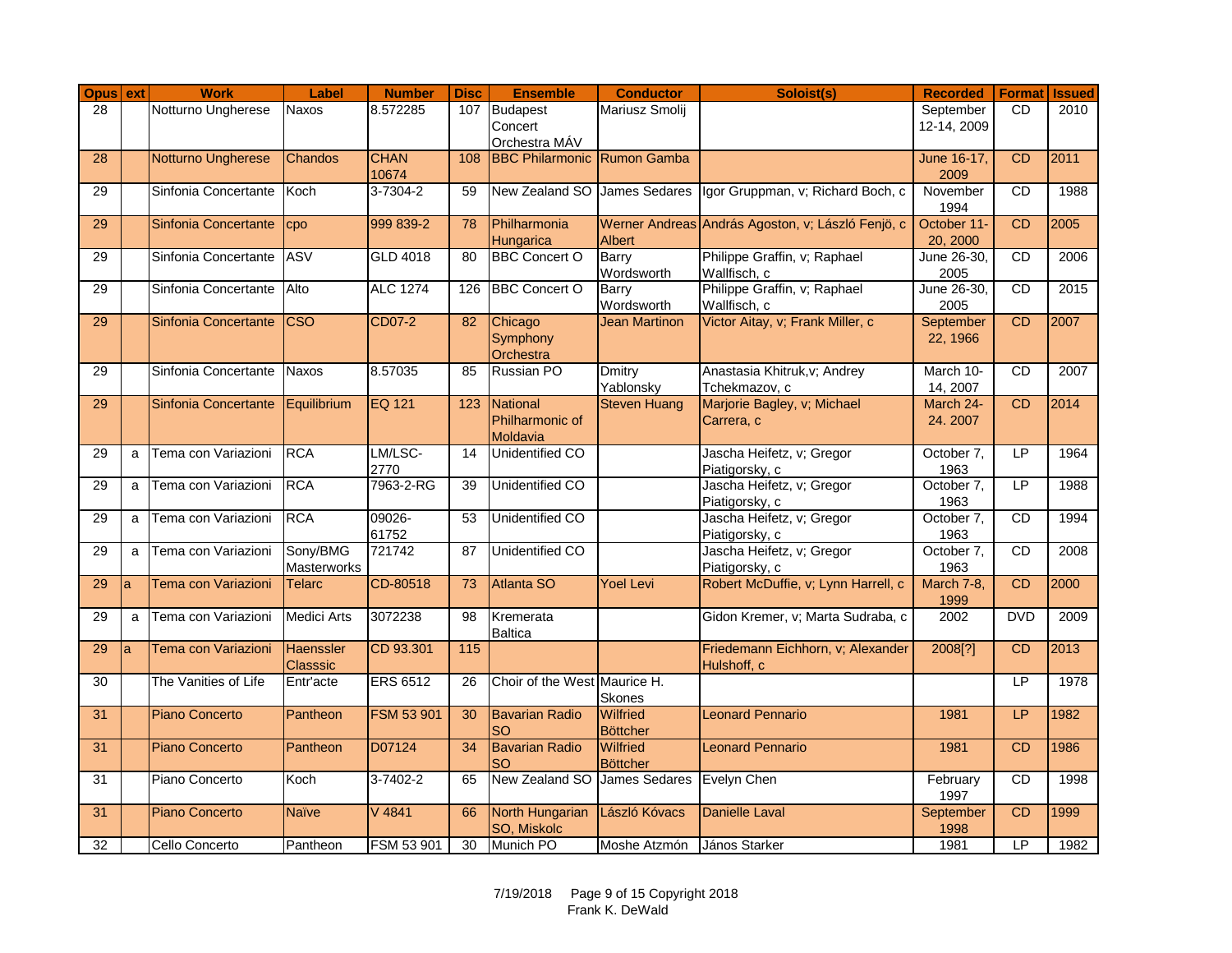| Opus ext |   | <b>Work</b>           | Label                   | <b>Number</b>        | <b>Disc</b> | <b>Ensemble</b>                    | <b>Conductor</b>            | Soloist(s)                                        | <b>Recorded</b>     |                | <b>Format Issued</b> |
|----------|---|-----------------------|-------------------------|----------------------|-------------|------------------------------------|-----------------------------|---------------------------------------------------|---------------------|----------------|----------------------|
| 28       |   | Notturno Ungherese    | Naxos                   | 8.572285             | 107         | <b>Budapest</b>                    | Mariusz Smolii              |                                                   | September           | <b>CD</b>      | 2010                 |
|          |   |                       |                         |                      |             | Concert                            |                             |                                                   | 12-14, 2009         |                |                      |
|          |   |                       |                         |                      |             | Orchestra MÁV                      |                             |                                                   |                     |                |                      |
| 28       |   | Notturno Ungherese    | Chandos                 | <b>CHAN</b><br>10674 | 108         | <b>BBC Philarmonic Rumon Gamba</b> |                             |                                                   | June 16-17,<br>2009 | <b>CD</b>      | 2011                 |
| 29       |   | Sinfonia Concertante  | Koch                    | $3 - 7304 - 2$       | 59          | New Zealand SO James Sedares       |                             | Igor Gruppman, v; Richard Boch, c                 | November            | CD             | 1988                 |
|          |   |                       |                         |                      |             |                                    |                             |                                                   | 1994                |                |                      |
| 29       |   | Sinfonia Concertante  | cpo                     | 999 839-2            | 78          | Philharmonia                       |                             | Werner Andreas András Agoston, v; László Fenjö, c | October 11-         | CD             | 2005                 |
|          |   |                       |                         |                      |             | Hungarica                          | <b>Albert</b>               |                                                   | 20, 2000            |                |                      |
| 29       |   | Sinfonia Concertante  | <b>ASV</b>              | <b>GLD 4018</b>      | 80          | <b>BBC Concert O</b>               | Barry                       | Philippe Graffin, v; Raphael                      | June 26-30,         | CD             | 2006                 |
|          |   |                       |                         |                      |             |                                    | Wordsworth                  | Wallfisch, c                                      | 2005                |                |                      |
| 29       |   | Sinfonia Concertante  | Alto                    | <b>ALC 1274</b>      | 126         | <b>BBC Concert O</b>               | <b>Barry</b>                | Philippe Graffin, v; Raphael                      | June 26-30,         | <b>CD</b>      | 2015                 |
|          |   |                       |                         |                      |             |                                    | Wordsworth                  | Wallfisch, c                                      | 2005                |                |                      |
| 29       |   | Sinfonia Concertante  | $\overline{\text{CSO}}$ | CD07-2               | 82          | Chicago                            | <b>Jean Martinon</b>        | Victor Aitay, v; Frank Miller, c                  | September           | <b>CD</b>      | 2007                 |
|          |   |                       |                         |                      |             | Symphony                           |                             |                                                   | 22, 1966            |                |                      |
| 29       |   | Sinfonia Concertante  | <b>Naxos</b>            | 8.57035              | 85          | Orchestra<br><b>Russian PO</b>     | <b>Dmitry</b>               | Anastasia Khitruk, v; Andrey                      | March 10-           | <b>CD</b>      | 2007                 |
|          |   |                       |                         |                      |             |                                    | Yablonsky                   | Tchekmazov, c                                     | 14, 2007            |                |                      |
| 29       |   | Sinfonia Concertante  | Equilibrium             | <b>EQ 121</b>        | 123         | <b>National</b>                    | <b>Steven Huang</b>         | Marjorie Bagley, v; Michael                       | March 24-           | C <sub>D</sub> | 2014                 |
|          |   |                       |                         |                      |             | Philharmonic of                    |                             | Carrera, c                                        | 24.2007             |                |                      |
|          |   |                       |                         |                      |             | Moldavia                           |                             |                                                   |                     |                |                      |
| 29       | a | Tema con Variazioni   | <b>RCA</b>              | LM/LSC-              | 14          | Unidentified CO                    |                             | Jascha Heifetz, v; Gregor                         | October 7,          | <b>LP</b>      | 1964                 |
|          |   |                       |                         | 2770                 |             |                                    |                             | Piatigorsky, c                                    | 1963                |                |                      |
| 29       | a | Tema con Variazioni   | <b>RCA</b>              | 7963-2-RG            | 39          | Unidentified CO                    |                             | Jascha Heifetz, v; Gregor                         | October 7,          | LP             | 1988                 |
|          |   |                       |                         |                      |             |                                    |                             | Piatigorsky, c                                    | 1963                |                |                      |
| 29       | a | Tema con Variazioni   | <b>RCA</b>              | 09026-               | 53          | <b>Unidentified CO</b>             |                             | Jascha Heifetz, v; Gregor                         | October 7,          | CD             | 1994                 |
| 29       | a | Tema con Variazioni   | Sony/BMG                | 61752<br>721742      | 87          | <b>Unidentified CO</b>             |                             | Piatigorsky, c<br>Jascha Heifetz, v; Gregor       | 1963<br>October 7,  | <b>CD</b>      | 2008                 |
|          |   |                       | Masterworks             |                      |             |                                    |                             | Piatigorsky, c                                    | 1963                |                |                      |
| 29       | a | Tema con Variazioni   | <b>Telarc</b>           | CD-80518             | 73          | <b>Atlanta SO</b>                  | <b>Yoel Levi</b>            | Robert McDuffie, v; Lynn Harrell, c               | March 7-8,          | CD             | 2000                 |
|          |   |                       |                         |                      |             |                                    |                             |                                                   | 1999                |                |                      |
| 29       | a | Tema con Variazioni   | <b>Medici Arts</b>      | 3072238              | 98          | Kremerata                          |                             | Gidon Kremer, v; Marta Sudraba, c                 | 2002                | <b>DVD</b>     | 2009                 |
|          |   |                       |                         |                      |             | <b>Baltica</b>                     |                             |                                                   |                     |                |                      |
| 29       | a | Tema con Variazioni   | <b>Haenssler</b>        | CD 93.301            | 115         |                                    |                             | Friedemann Eichhorn, v; Alexander                 | 2008[?]             | <b>CD</b>      | 2013                 |
|          |   |                       | <b>Classsic</b>         |                      |             |                                    |                             | Hulshoff, c                                       |                     |                |                      |
| 30       |   | The Vanities of Life  | Entr'acte               | <b>ERS 6512</b>      | 26          | Choir of the West Maurice H.       |                             |                                                   |                     | IP             | 1978                 |
|          |   |                       |                         |                      |             |                                    | Skones                      |                                                   |                     |                |                      |
| 31       |   | <b>Piano Concerto</b> | Pantheon                | <b>FSM 53 901</b>    | 30          | <b>Bavarian Radio</b><br>SO        | Wilfried<br><b>Böttcher</b> | <b>Leonard Pennario</b>                           | 1981                | LP             | 1982                 |
| 31       |   | <b>Piano Concerto</b> | Pantheon                | D07124               | 34          | <b>Bavarian Radio</b>              | <b>Wilfried</b>             | <b>Leonard Pennario</b>                           | 1981                | CD             | 1986                 |
|          |   |                       |                         |                      |             | <b>SO</b>                          | <b>Böttcher</b>             |                                                   |                     |                |                      |
| 31       |   | Piano Concerto        | Koch                    | $3-7402-2$           | 65          | New Zealand SO James Sedares       |                             | <b>Evelyn Chen</b>                                | February            | CD             | 1998                 |
|          |   |                       |                         |                      |             |                                    |                             |                                                   | 1997                |                |                      |
| 31       |   | <b>Piano Concerto</b> | <b>Naïve</b>            | V 4841               | 66          | North Hungarian                    | László Kóvacs               | <b>Danielle Laval</b>                             | September           | CD             | 1999                 |
|          |   |                       |                         |                      |             | SO, Miskolc                        |                             |                                                   | 1998                |                |                      |
| 32       |   | Cello Concerto        | Pantheon                | FSM 53 901           | 30          | Munich PO                          | Moshe Atzmón                | János Starker                                     | 1981                | LP             | 1982                 |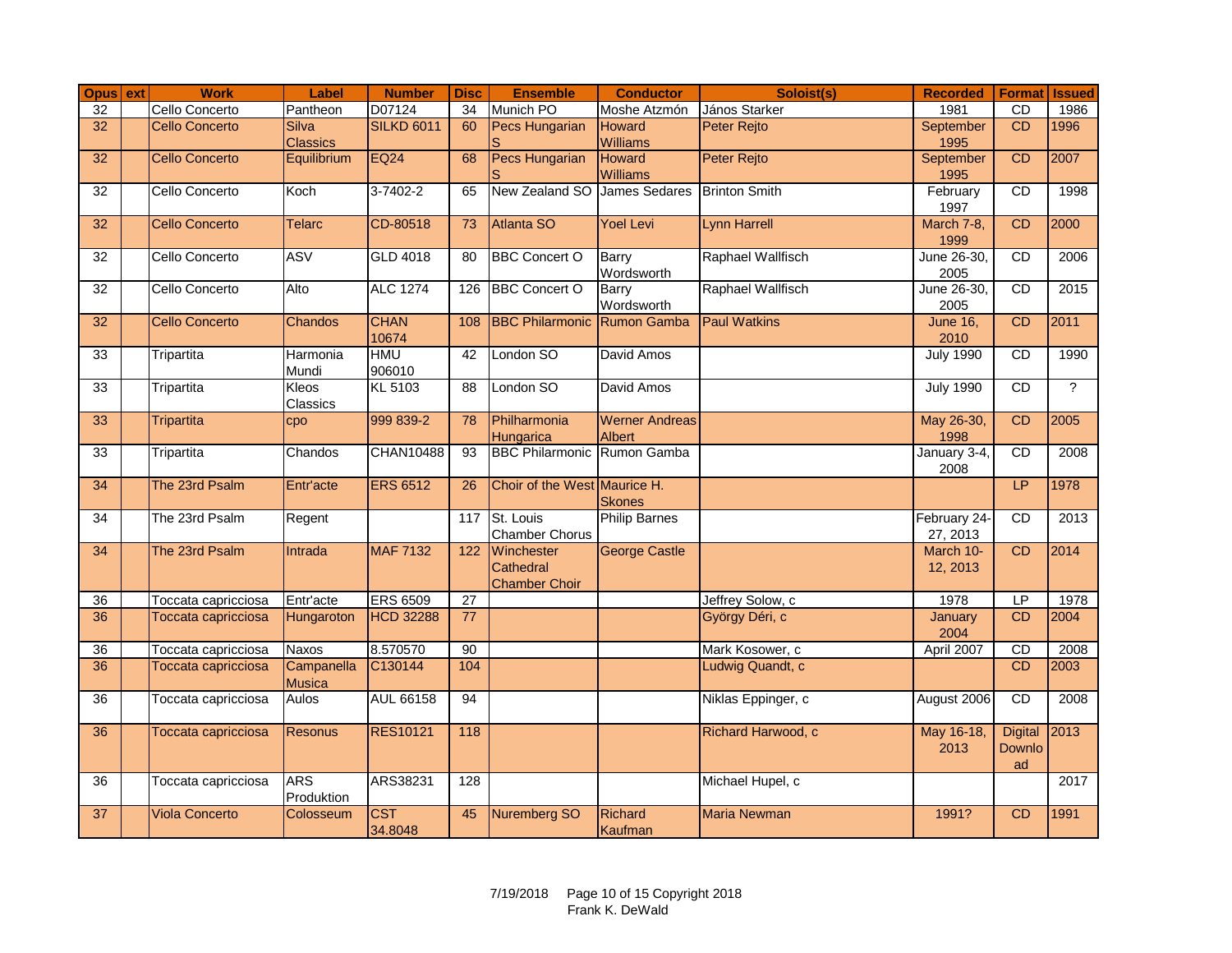| Opus ext        | <b>Work</b>           | Label             | <b>Number</b>     | <b>Disc</b>     | <b>Ensemble</b>                     | <b>Conductor</b>      | Soloist(s)           | <b>Recorded</b>       | <b>Format</b> Issued     |                |
|-----------------|-----------------------|-------------------|-------------------|-----------------|-------------------------------------|-----------------------|----------------------|-----------------------|--------------------------|----------------|
| $\overline{32}$ | Cello Concerto        | Pantheon          | D07124            | 34              | Munich PO                           | Moshe Atzmón          | János Starker        | 1981                  | CD                       | 1986           |
| 32              | <b>Cello Concerto</b> | Silva             | <b>SILKD 6011</b> | 60              | Pecs Hungarian                      | <b>Howard</b>         | <b>Peter Rejto</b>   | September             | <b>CD</b>                | 1996           |
|                 |                       | <b>Classics</b>   |                   |                 |                                     | Williams              |                      | 1995                  |                          |                |
| 32              | <b>Cello Concerto</b> | Equilibrium       | <b>EQ24</b>       | 68              | <b>Pecs Hungarian</b>               | <b>Howard</b>         | <b>Peter Rejto</b>   | September             | CD                       | 2007           |
| 32              | Cello Concerto        | Koch              | $3 - 7402 - 2$    | 65              | New Zealand SO James Sedares        | <b>Williams</b>       | <b>Brinton Smith</b> | 1995<br>February      | CD                       | 1998           |
|                 |                       |                   |                   |                 |                                     |                       |                      | 1997                  |                          |                |
| 32              | <b>Cello Concerto</b> | <b>Telarc</b>     | CD-80518          | 73              | Atlanta SO                          | <b>Yoel Levi</b>      | <b>Lynn Harrell</b>  | March 7-8,            | CD                       | 2000           |
|                 |                       |                   |                   |                 |                                     |                       |                      | 1999                  |                          |                |
| 32              | Cello Concerto        | <b>ASV</b>        | GLD 4018          | 80              | <b>BBC Concert O</b>                | Barry                 | Raphael Wallfisch    | June 26-30,           | CD                       | 2006           |
|                 |                       |                   |                   |                 |                                     | Wordsworth            |                      | 2005                  |                          |                |
| 32              | Cello Concerto        | Alto              | <b>ALC 1274</b>   | 126             | <b>BBC Concert O</b>                | <b>Barry</b>          | Raphael Wallfisch    | June 26-30,           | CD                       | 2015           |
|                 |                       |                   |                   |                 |                                     | Wordsworth            |                      | 2005                  |                          |                |
| 32              | <b>Cello Concerto</b> | Chandos           | <b>CHAN</b>       | 108             | <b>BBC Philarmonic Rumon Gamba</b>  |                       | <b>Paul Watkins</b>  | <b>June 16.</b>       | CD                       | 2011           |
|                 |                       |                   | 10674             |                 |                                     |                       |                      | 2010                  |                          |                |
| 33              | Tripartita            | Harmonia<br>Mundi | HMU<br>906010     | 42              | London SO                           | David Amos            |                      | <b>July 1990</b>      | CD                       | 1990           |
| 33              | Tripartita            | Kleos             | KL 5103           | 88              | London SO                           | David Amos            |                      | <b>July 1990</b>      | CD                       | $\overline{?}$ |
|                 |                       | Classics          |                   |                 |                                     |                       |                      |                       |                          |                |
| 33              | <b>Tripartita</b>     | cpo               | 999 839-2         | 78              | Philharmonia                        | <b>Werner Andreas</b> |                      | May 26-30,            | CD                       | 2005           |
|                 |                       |                   |                   |                 | Hungarica                           | <b>Albert</b>         |                      | 1998                  |                          |                |
| 33              | Tripartita            | Chandos           | <b>CHAN10488</b>  | 93              | <b>BBC Philarmonic Rumon Gamba</b>  |                       |                      | January 3-4,          | CD                       | 2008           |
|                 |                       |                   |                   |                 |                                     |                       |                      | 2008                  |                          |                |
| 34              | The 23rd Psalm        | Entr'acte         | <b>ERS 6512</b>   | 26              | Choir of the West Maurice H.        |                       |                      |                       | LP                       | 1978           |
|                 |                       |                   |                   |                 |                                     | <b>Skones</b>         |                      |                       |                          |                |
| 34              | The 23rd Psalm        | Regent            |                   |                 | 117 St. Louis                       | <b>Philip Barnes</b>  |                      | February 24-          | CD                       | 2013           |
| 34              | The 23rd Psalm        | Intrada           | <b>MAF 7132</b>   | 122             | <b>Chamber Chorus</b><br>Winchester | <b>George Castle</b>  |                      | 27, 2013<br>March 10- | CD                       | 2014           |
|                 |                       |                   |                   |                 | Cathedral                           |                       |                      | 12, 2013              |                          |                |
|                 |                       |                   |                   |                 | <b>Chamber Choir</b>                |                       |                      |                       |                          |                |
| 36              | Toccata capricciosa   | Entr'acte         | <b>ERS 6509</b>   | 27              |                                     |                       | Jeffrey Solow, c     | 1978                  | LP                       | 1978           |
| 36              | Toccata capricciosa   | Hungaroton        | <b>HCD 32288</b>  | $\overline{77}$ |                                     |                       | György Déri, c       | January               | CD                       | 2004           |
|                 |                       |                   |                   |                 |                                     |                       |                      | 2004                  |                          |                |
| 36              | Toccata capricciosa   | Naxos             | 8.570570          | 90              |                                     |                       | Mark Kosower, c      | April 2007            | <b>CD</b>                | 2008           |
| $\overline{36}$ | Toccata capricciosa   | Campanella        | C130144           | 104             |                                     |                       | Ludwig Quandt, c     |                       | CD                       | 2003           |
|                 |                       | <b>Musica</b>     |                   |                 |                                     |                       |                      |                       |                          |                |
| $\overline{36}$ | Toccata capricciosa   | <b>Aulos</b>      | <b>AUL 66158</b>  | 94              |                                     |                       | Niklas Eppinger, c   | August 2006           | $\overline{CD}$          | 2008           |
|                 |                       |                   |                   |                 |                                     |                       |                      |                       |                          | 2013           |
| 36              | Toccata capricciosa   | <b>Resonus</b>    | <b>RES10121</b>   | 118             |                                     |                       | Richard Harwood, c   | May 16-18,<br>2013    | <b>Digital</b><br>Downlo |                |
|                 |                       |                   |                   |                 |                                     |                       |                      |                       | ad                       |                |
| $\overline{36}$ | Toccata capricciosa   | <b>ARS</b>        | ARS38231          | 128             |                                     |                       | Michael Hupel, c     |                       |                          | 2017           |
|                 |                       | Produktion        |                   |                 |                                     |                       |                      |                       |                          |                |
| 37              | <b>Viola Concerto</b> | Colosseum         | <b>CST</b>        | 45              | <b>Nuremberg SO</b>                 | <b>Richard</b>        | <b>Maria Newman</b>  | 1991?                 | CD                       | 1991           |
|                 |                       |                   | 34.8048           |                 |                                     | Kaufman               |                      |                       |                          |                |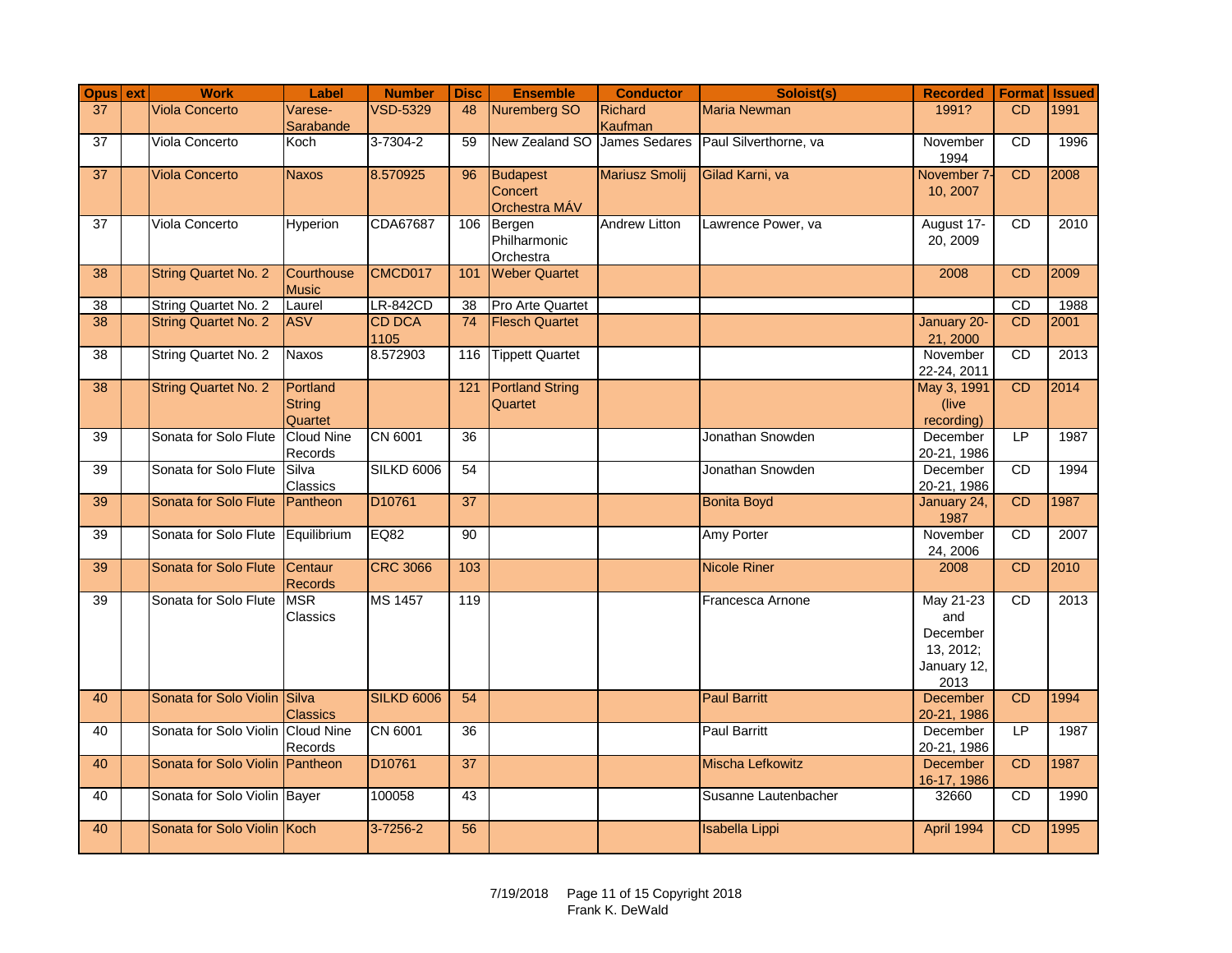| Opus ext        | <b>Work</b>                       | Label                            | <b>Number</b>         | <b>Disc</b>     | <b>Ensemble</b>                      | <b>Conductor</b>     | Soloist(s)              | <b>Recorded</b>                                                  | <b>Format Issued</b> |      |
|-----------------|-----------------------------------|----------------------------------|-----------------------|-----------------|--------------------------------------|----------------------|-------------------------|------------------------------------------------------------------|----------------------|------|
| 37              | <b>Viola Concerto</b>             | Varese-<br>Sarabande             | <b>VSD-5329</b>       | 48              | <b>Nuremberg SO</b>                  | Richard<br>Kaufman   | <b>Maria Newman</b>     | 1991?                                                            | <b>CD</b>            | 1991 |
| $\overline{37}$ | Viola Concerto                    | Koch                             | $3 - 7304 - 2$        | 59              | New Zealand SO James Sedares         |                      | Paul Silverthorne, va   | November<br>1994                                                 | <b>CD</b>            | 1996 |
| 37              | <b>Viola Concerto</b>             | <b>Naxos</b>                     | 8.570925              | 96              | Budapest<br>Concert<br>Orchestra MÁV | Mariusz Smolij       | Gilad Karni, va         | November 7-<br>10, 2007                                          | CD                   | 2008 |
| 37              | Viola Concerto                    | <b>Hyperion</b>                  | CDA67687              | 106             | Bergen<br>Philharmonic<br>Orchestra  | <b>Andrew Litton</b> | Lawrence Power, va      | August 17-<br>20, 2009                                           | <b>CD</b>            | 2010 |
| 38              | <b>String Quartet No. 2</b>       | Courthouse<br><b>Music</b>       | CMCD017               | 101             | <b>Weber Quartet</b>                 |                      |                         | 2008                                                             | CD                   | 2009 |
| $\overline{38}$ | String Quartet No. 2              | Laurel                           | <b>LR-842CD</b>       | 38              | Pro Arte Quartet                     |                      |                         |                                                                  | CD                   | 1988 |
| 38              | <b>String Quartet No. 2</b>       | <b>ASV</b>                       | <b>CD DCA</b><br>1105 | 74              | <b>Flesch Quartet</b>                |                      |                         | January 20-<br>21, 2000                                          | <b>CD</b>            | 2001 |
| 38              | <b>String Quartet No. 2</b>       | Naxos                            | 8.572903              | 116             | <b>Tippett Quartet</b>               |                      |                         | November<br>22-24, 2011                                          | CD                   | 2013 |
| 38              | <b>String Quartet No. 2</b>       | Portland<br>String<br>Quartet    |                       | 121             | <b>Portland String</b><br>Quartet    |                      |                         | May 3, 1991<br>(live)<br>recording)                              | CD                   | 2014 |
| 39              | Sonata for Solo Flute             | <b>Cloud Nine</b><br>Records     | CN 6001               | 36              |                                      |                      | Jonathan Snowden        | December<br>20-21, 1986                                          | LP                   | 1987 |
| 39              | Sonata for Solo Flute             | Silva<br>Classics                | <b>SILKD 6006</b>     | 54              |                                      |                      | Jonathan Snowden        | December<br>20-21, 1986                                          | CD                   | 1994 |
| 39              | Sonata for Solo Flute             | Pantheon                         | D10761                | $\overline{37}$ |                                      |                      | <b>Bonita Boyd</b>      | January 24,<br>1987                                              | <b>CD</b>            | 1987 |
| 39              | Sonata for Solo Flute             | Equilibrium                      | EQ82                  | 90              |                                      |                      | Amy Porter              | November<br>24, 2006                                             | <b>CD</b>            | 2007 |
| 39              | Sonata for Solo Flute             | <b>Centaur</b><br><b>Records</b> | <b>CRC 3066</b>       | 103             |                                      |                      | <b>Nicole Riner</b>     | 2008                                                             | <b>CD</b>            | 2010 |
| 39              | Sonata for Solo Flute             | <b>MSR</b><br>Classics           | <b>MS 1457</b>        | 119             |                                      |                      | Francesca Arnone        | May 21-23<br>and<br>December<br>13, 2012;<br>January 12,<br>2013 | CD                   | 2013 |
| 40              | Sonata for Solo Violin Silva      | <b>Classics</b>                  | <b>SILKD 6006</b>     | 54              |                                      |                      | <b>Paul Barritt</b>     | <b>December</b><br>20-21, 1986                                   | CD                   | 1994 |
| 40              | Sonata for Solo Violin Cloud Nine | Records                          | CN 6001               | 36              |                                      |                      | <b>Paul Barritt</b>     | December<br>20-21, 1986                                          | LP                   | 1987 |
| 40              | Sonata for Solo Violin Pantheon   |                                  | D <sub>10761</sub>    | $\overline{37}$ |                                      |                      | <b>Mischa Lefkowitz</b> | <b>December</b><br>16-17, 1986                                   | <b>CD</b>            | 1987 |
| 40              | Sonata for Solo Violin Bayer      |                                  | 100058                | 43              |                                      |                      | Susanne Lautenbacher    | 32660                                                            | <b>CD</b>            | 1990 |
| 40              | Sonata for Solo Violin Koch       |                                  | $3 - 7256 - 2$        | 56              |                                      |                      | <b>Isabella Lippi</b>   | April 1994                                                       | CD                   | 1995 |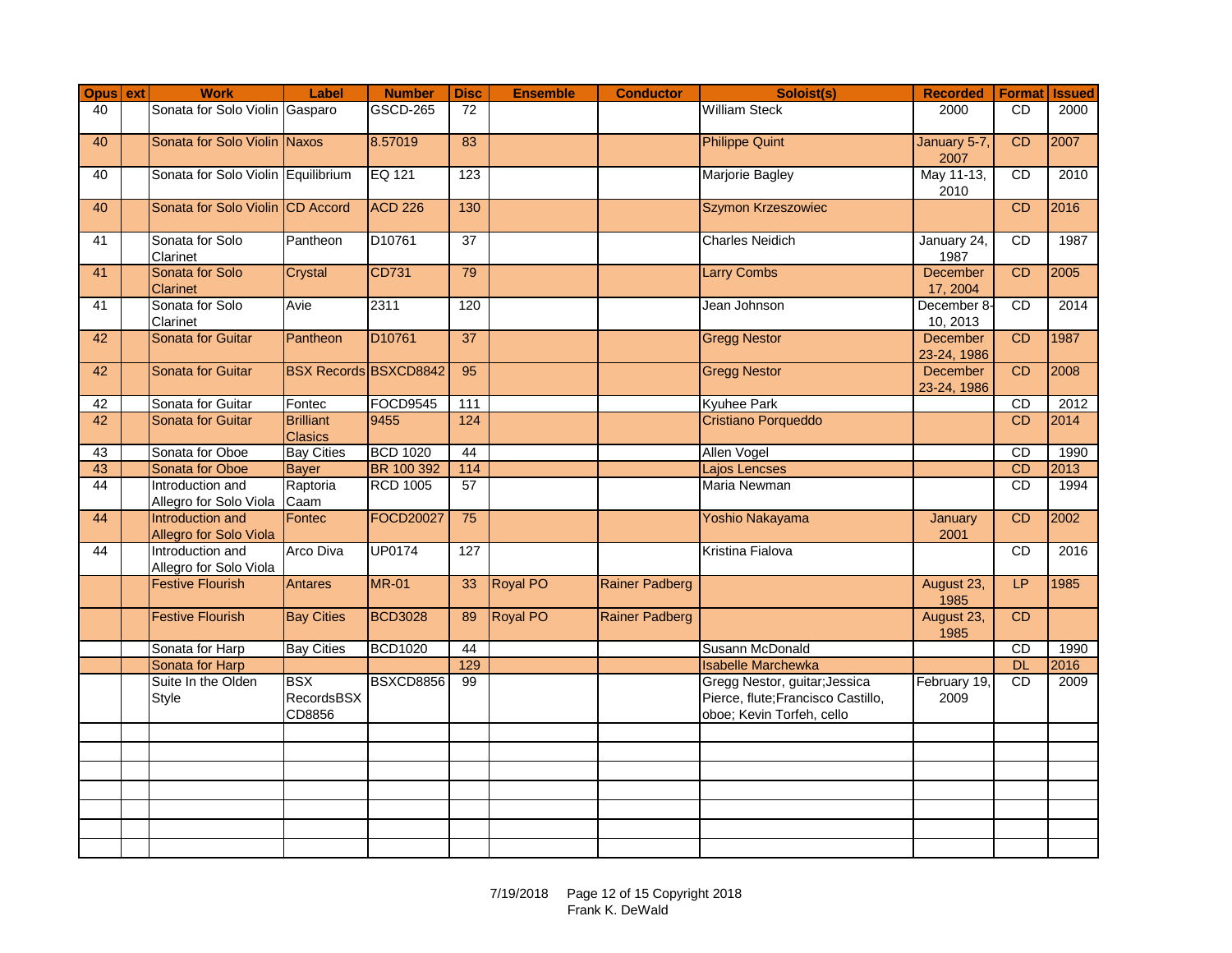| Opus ext | <b>Work</b>                                | Label                                     | <b>Number</b>    | <b>Disc</b>     | <b>Ensemble</b> | <b>Conductor</b>      | Soloist(s)                                                                                       | <b>Recorded</b>         |           | <b>Format Issued</b> |
|----------|--------------------------------------------|-------------------------------------------|------------------|-----------------|-----------------|-----------------------|--------------------------------------------------------------------------------------------------|-------------------------|-----------|----------------------|
| 40       | Sonata for Solo Violin Gasparo             |                                           | <b>GSCD-265</b>  | 72              |                 |                       | <b>William Steck</b>                                                                             | 2000                    | <b>CD</b> | 2000                 |
| 40       | Sonata for Solo Violin Naxos               |                                           | 8.57019          | 83              |                 |                       | <b>Philippe Quint</b>                                                                            | January 5-7,<br>2007    | CD        | 2007                 |
| 40       | Sonata for Solo Violin Equilibrium         |                                           | EQ 121           | 123             |                 |                       | Marjorie Bagley                                                                                  | May 11-13,<br>2010      | <b>CD</b> | 2010                 |
| 40       | Sonata for Solo Violin CD Accord           |                                           | <b>ACD 226</b>   | 130             |                 |                       | Szymon Krzeszowiec                                                                               |                         | <b>CD</b> | 2016                 |
| 41       | Sonata for Solo<br>Clarinet                | Pantheon                                  | D10761           | $\overline{37}$ |                 |                       | <b>Charles Neidich</b>                                                                           | January 24,<br>1987     | CD        | 1987                 |
| 41       | Sonata for Solo<br>Clarinet                | Crystal                                   | CD731            | 79              |                 |                       | <b>Larry Combs</b>                                                                               | December<br>17, 2004    | CD        | 2005                 |
| 41       | Sonata for Solo<br>Clarinet                | Avie                                      | 2311             | 120             |                 |                       | Jean Johnson                                                                                     | December 8-<br>10, 2013 | CD        | 2014                 |
| 42       | Sonata for Guitar                          | Pantheon                                  | D10761           | $\overline{37}$ |                 |                       | <b>Gregg Nestor</b>                                                                              | December<br>23-24, 1986 | CD        | 1987                 |
| 42       | <b>Sonata for Guitar</b>                   | <b>BSX Records BSXCD8842</b>              |                  | 95              |                 |                       | <b>Gregg Nestor</b>                                                                              | December<br>23-24, 1986 | CD        | 2008                 |
| 42       | Sonata for Guitar                          | Fontec                                    | <b>FOCD9545</b>  | 111             |                 |                       | <b>Kyuhee Park</b>                                                                               |                         | CD        | $\overline{2012}$    |
| 42       | <b>Sonata for Guitar</b>                   | <b>Brilliant</b><br><b>Clasics</b>        | 9455             | 124             |                 |                       | Cristiano Porqueddo                                                                              |                         | CD        | 2014                 |
| 43       | Sonata for Oboe                            | <b>Bay Cities</b>                         | <b>BCD 1020</b>  | 44              |                 |                       | Allen Vogel                                                                                      |                         | CD        | 1990                 |
| 43       | Sonata for Oboe                            | <b>Bayer</b>                              | BR 100 392       | 114             |                 |                       | Lajos Lencses                                                                                    |                         | CD        | 2013                 |
| 44       | Introduction and<br>Allegro for Solo Viola | Raptoria<br>Caam                          | <b>RCD 1005</b>  | 57              |                 |                       | Maria Newman                                                                                     |                         | CD        | 1994                 |
| 44       | Introduction and<br>Allegro for Solo Viola | Fontec                                    | <b>FOCD20027</b> | 75              |                 |                       | Yoshio Nakayama                                                                                  | January<br>2001         | CD        | 2002                 |
| 44       | Introduction and<br>Allegro for Solo Viola | Arco Diva                                 | <b>UP0174</b>    | 127             |                 |                       | Kristina Fialova                                                                                 |                         | CD        | 2016                 |
|          | <b>Festive Flourish</b>                    | Antares                                   | <b>MR-01</b>     | 33              | <b>Royal PO</b> | <b>Rainer Padberg</b> |                                                                                                  | August 23,<br>1985      | LP        | 1985                 |
|          | <b>Festive Flourish</b>                    | <b>Bay Cities</b>                         | <b>BCD3028</b>   | 89              | Royal PO        | <b>Rainer Padberg</b> |                                                                                                  | August 23,<br>1985      | CD        |                      |
|          | Sonata for Harp                            | <b>Bay Cities</b>                         | <b>BCD1020</b>   | 44              |                 |                       | Susann McDonald                                                                                  |                         | CD        | 1990                 |
|          | Sonata for Harp                            |                                           |                  | 129             |                 |                       | <b>Isabelle Marchewka</b>                                                                        |                         | DL        | 2016                 |
|          | Suite In the Olden<br>Style                | <b>BSX</b><br><b>RecordsBSX</b><br>CD8856 | BSXCD8856        | $\overline{99}$ |                 |                       | Gregg Nestor, guitar; Jessica<br>Pierce, flute; Francisco Castillo,<br>oboe; Kevin Torfeh, cello | February 19,<br>2009    | CD        | 2009                 |
|          |                                            |                                           |                  |                 |                 |                       |                                                                                                  |                         |           |                      |
|          |                                            |                                           |                  |                 |                 |                       |                                                                                                  |                         |           |                      |
|          |                                            |                                           |                  |                 |                 |                       |                                                                                                  |                         |           |                      |
|          |                                            |                                           |                  |                 |                 |                       |                                                                                                  |                         |           |                      |
|          |                                            |                                           |                  |                 |                 |                       |                                                                                                  |                         |           |                      |
|          |                                            |                                           |                  |                 |                 |                       |                                                                                                  |                         |           |                      |
|          |                                            |                                           |                  |                 |                 |                       |                                                                                                  |                         |           |                      |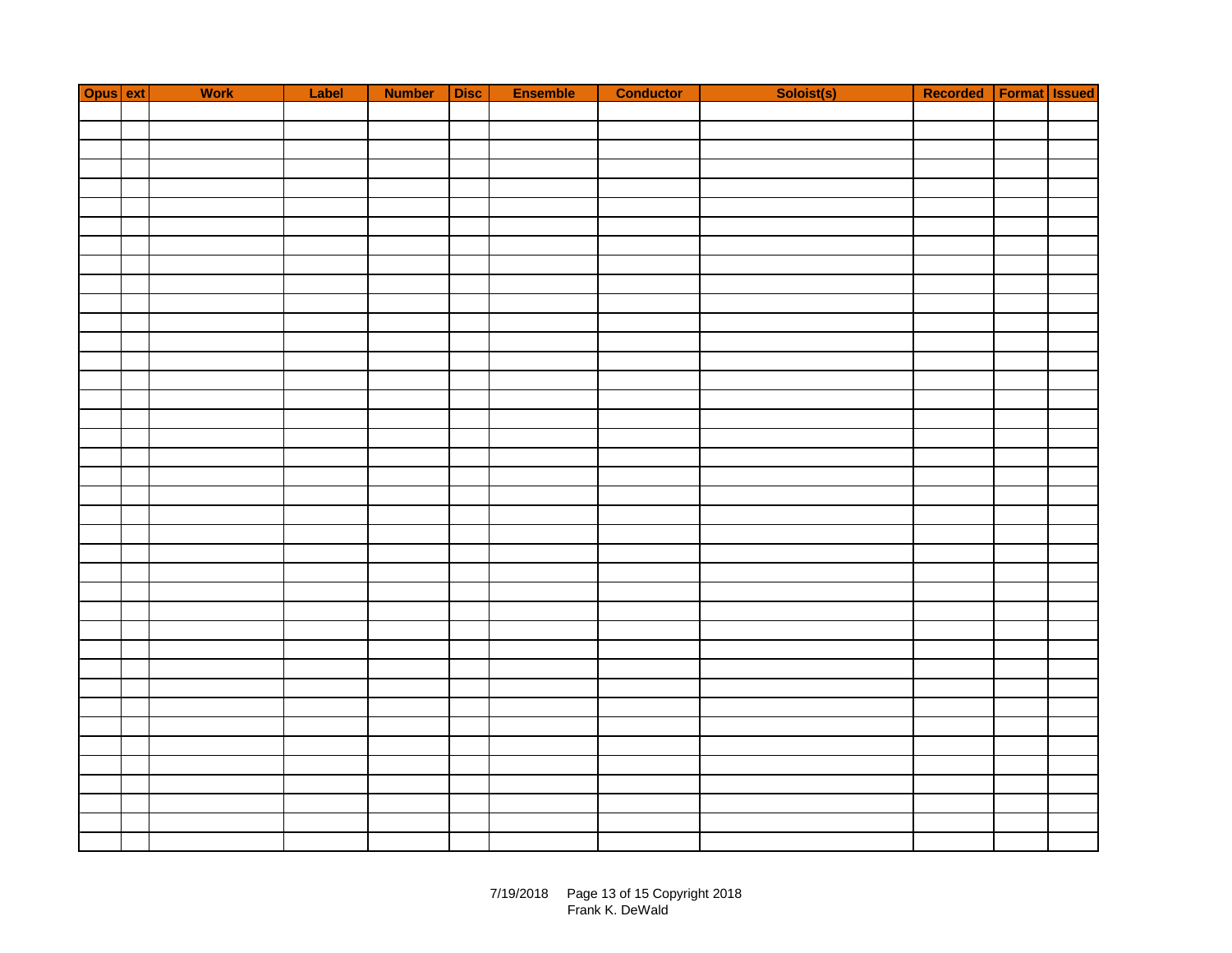| Opus ext | Work | Label | Number Disc | Ensemble | <b>Conductor</b> | Soloist(s) | Recorded   Format   Issued |  |
|----------|------|-------|-------------|----------|------------------|------------|----------------------------|--|
|          |      |       |             |          |                  |            |                            |  |
|          |      |       |             |          |                  |            |                            |  |
|          |      |       |             |          |                  |            |                            |  |
|          |      |       |             |          |                  |            |                            |  |
|          |      |       |             |          |                  |            |                            |  |
|          |      |       |             |          |                  |            |                            |  |
|          |      |       |             |          |                  |            |                            |  |
|          |      |       |             |          |                  |            |                            |  |
|          |      |       |             |          |                  |            |                            |  |
|          |      |       |             |          |                  |            |                            |  |
|          |      |       |             |          |                  |            |                            |  |
|          |      |       |             |          |                  |            |                            |  |
|          |      |       |             |          |                  |            |                            |  |
|          |      |       |             |          |                  |            |                            |  |
|          |      |       |             |          |                  |            |                            |  |
|          |      |       |             |          |                  |            |                            |  |
|          |      |       |             |          |                  |            |                            |  |
|          |      |       |             |          |                  |            |                            |  |
|          |      |       |             |          |                  |            |                            |  |
|          |      |       |             |          |                  |            |                            |  |
|          |      |       |             |          |                  |            |                            |  |
|          |      |       |             |          |                  |            |                            |  |
|          |      |       |             |          |                  |            |                            |  |
|          |      |       |             |          |                  |            |                            |  |
|          |      |       |             |          |                  |            |                            |  |
|          |      |       |             |          |                  |            |                            |  |
|          |      |       |             |          |                  |            |                            |  |
|          |      |       |             |          |                  |            |                            |  |
|          |      |       |             |          |                  |            |                            |  |
|          |      |       |             |          |                  |            |                            |  |
|          |      |       |             |          |                  |            |                            |  |
|          |      |       |             |          |                  |            |                            |  |
|          |      |       |             |          |                  |            |                            |  |
|          |      |       |             |          |                  |            |                            |  |
|          |      |       |             |          |                  |            |                            |  |
|          |      |       |             |          |                  |            |                            |  |
|          |      |       |             |          |                  |            |                            |  |
|          |      |       |             |          |                  |            |                            |  |
|          |      |       |             |          |                  |            |                            |  |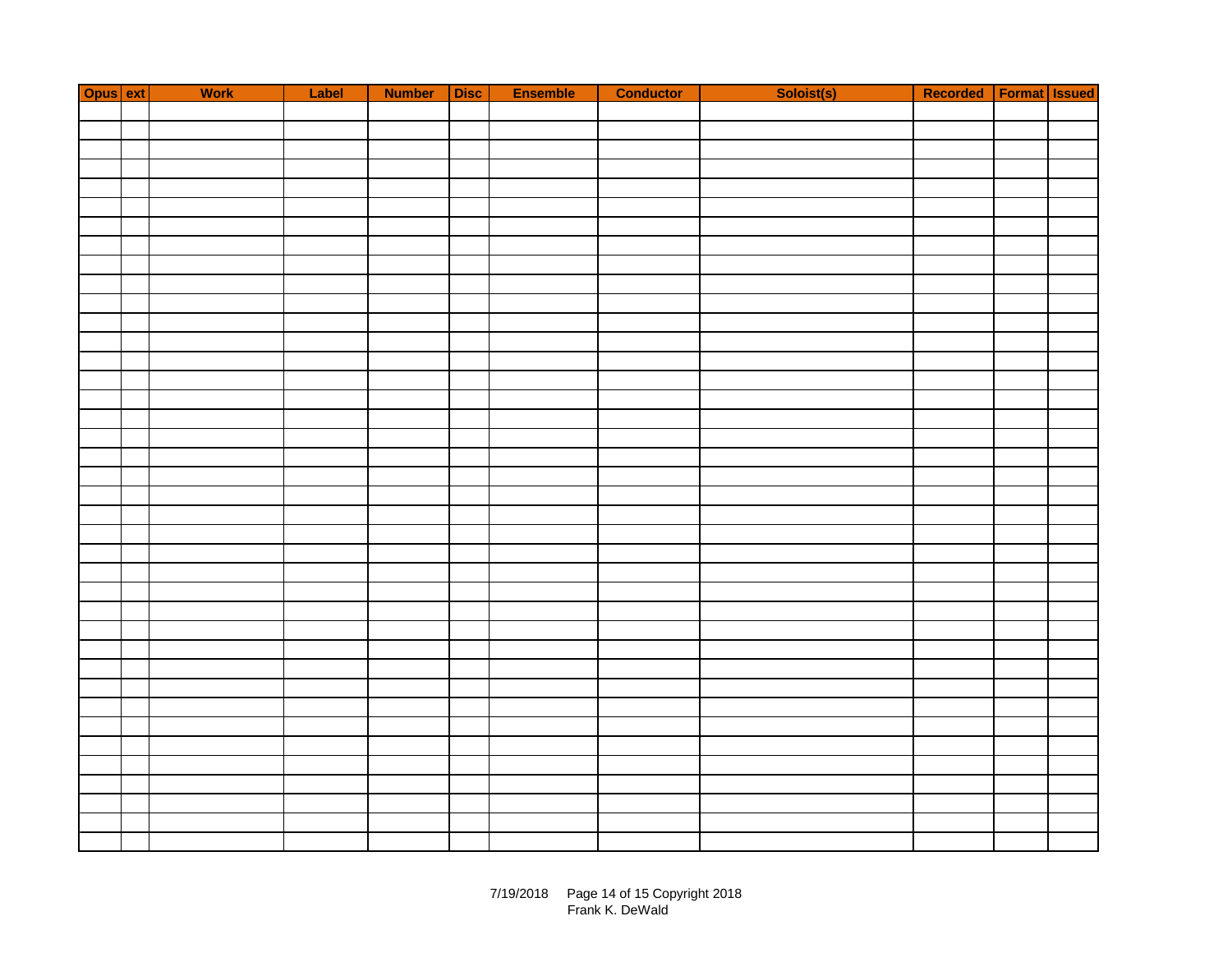| Opus ext | Work | Label | Number Disc | Ensemble | <b>Conductor</b> | Soloist(s) | Recorded   Format   Issued |  |
|----------|------|-------|-------------|----------|------------------|------------|----------------------------|--|
|          |      |       |             |          |                  |            |                            |  |
|          |      |       |             |          |                  |            |                            |  |
|          |      |       |             |          |                  |            |                            |  |
|          |      |       |             |          |                  |            |                            |  |
|          |      |       |             |          |                  |            |                            |  |
|          |      |       |             |          |                  |            |                            |  |
|          |      |       |             |          |                  |            |                            |  |
|          |      |       |             |          |                  |            |                            |  |
|          |      |       |             |          |                  |            |                            |  |
|          |      |       |             |          |                  |            |                            |  |
|          |      |       |             |          |                  |            |                            |  |
|          |      |       |             |          |                  |            |                            |  |
|          |      |       |             |          |                  |            |                            |  |
|          |      |       |             |          |                  |            |                            |  |
|          |      |       |             |          |                  |            |                            |  |
|          |      |       |             |          |                  |            |                            |  |
|          |      |       |             |          |                  |            |                            |  |
|          |      |       |             |          |                  |            |                            |  |
|          |      |       |             |          |                  |            |                            |  |
|          |      |       |             |          |                  |            |                            |  |
|          |      |       |             |          |                  |            |                            |  |
|          |      |       |             |          |                  |            |                            |  |
|          |      |       |             |          |                  |            |                            |  |
|          |      |       |             |          |                  |            |                            |  |
|          |      |       |             |          |                  |            |                            |  |
|          |      |       |             |          |                  |            |                            |  |
|          |      |       |             |          |                  |            |                            |  |
|          |      |       |             |          |                  |            |                            |  |
|          |      |       |             |          |                  |            |                            |  |
|          |      |       |             |          |                  |            |                            |  |
|          |      |       |             |          |                  |            |                            |  |
|          |      |       |             |          |                  |            |                            |  |
|          |      |       |             |          |                  |            |                            |  |
|          |      |       |             |          |                  |            |                            |  |
|          |      |       |             |          |                  |            |                            |  |
|          |      |       |             |          |                  |            |                            |  |
|          |      |       |             |          |                  |            |                            |  |
|          |      |       |             |          |                  |            |                            |  |
|          |      |       |             |          |                  |            |                            |  |